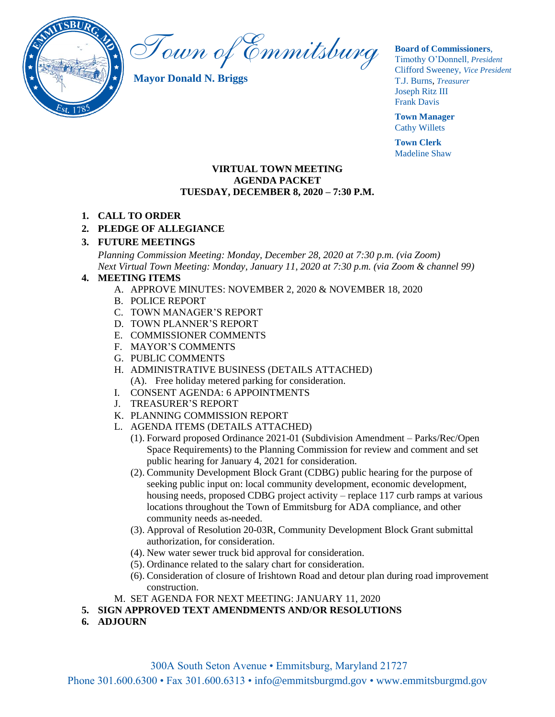

Town of Emmitsburg

**Mayor Donald N. Briggs**

#### **Board of Commissioners**,

Timothy O'Donnell*, President*  Clifford Sweeney, *Vice President* T.J. Burns, *Treasurer*  Joseph Ritz III Frank Davis

**Town Manager** Cathy Willets

**Town Clerk** Madeline Shaw

#### **VIRTUAL TOWN MEETING AGENDA PACKET TUESDAY, DECEMBER 8, 2020 – 7:30 P.M.**

## **1. CALL TO ORDER**

## **2. PLEDGE OF ALLEGIANCE**

### **3. FUTURE MEETINGS**

*Planning Commission Meeting: Monday, December 28, 2020 at 7:30 p.m. (via Zoom) Next Virtual Town Meeting: Monday, January 11, 2020 at 7:30 p.m. (via Zoom & channel 99)*

#### **4. MEETING ITEMS**

- A. APPROVE MINUTES: NOVEMBER 2, 2020 & NOVEMBER 18, 2020
- B. POLICE REPORT
- C. TOWN MANAGER'S REPORT
- D. TOWN PLANNER'S REPORT
- E. COMMISSIONER COMMENTS
- F. MAYOR'S COMMENTS
- G. PUBLIC COMMENTS
- H. ADMINISTRATIVE BUSINESS (DETAILS ATTACHED) (A). Free holiday metered parking for consideration.
- I. CONSENT AGENDA: 6 APPOINTMENTS
- J. TREASURER'S REPORT
- K. PLANNING COMMISSION REPORT
- L. AGENDA ITEMS (DETAILS ATTACHED)
	- (1). Forward proposed Ordinance 2021-01 (Subdivision Amendment Parks/Rec/Open Space Requirements) to the Planning Commission for review and comment and set public hearing for January 4, 2021 for consideration.
	- (2). Community Development Block Grant (CDBG) public hearing for the purpose of seeking public input on: local community development, economic development, housing needs, proposed CDBG project activity – replace 117 curb ramps at various locations throughout the Town of Emmitsburg for ADA compliance, and other community needs as-needed.
	- (3). Approval of Resolution 20-03R, Community Development Block Grant submittal authorization, for consideration.
	- (4). New water sewer truck bid approval for consideration.
	- (5). Ordinance related to the salary chart for consideration.
	- (6). Consideration of closure of Irishtown Road and detour plan during road improvement construction.
- M. SET AGENDA FOR NEXT MEETING: JANUARY 11, 2020
- **5. SIGN APPROVED TEXT AMENDMENTS AND/OR RESOLUTIONS**
- **6. ADJOURN**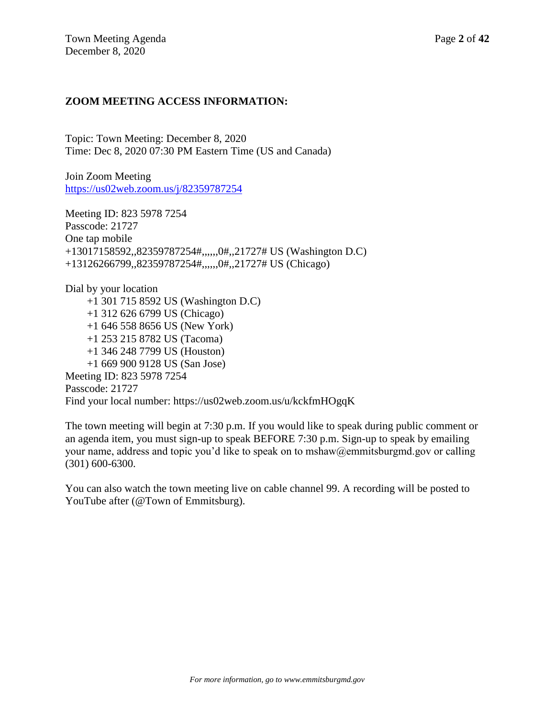## **ZOOM MEETING ACCESS INFORMATION:**

Topic: Town Meeting: December 8, 2020 Time: Dec 8, 2020 07:30 PM Eastern Time (US and Canada)

Join Zoom Meeting <https://us02web.zoom.us/j/82359787254>

Meeting ID: 823 5978 7254 Passcode: 21727 One tap mobile +13017158592,,82359787254#,,,,,,0#,,21727# US (Washington D.C) +13126266799,,82359787254#,,,,,,0#,,21727# US (Chicago)

Dial by your location +1 301 715 8592 US (Washington D.C) +1 312 626 6799 US (Chicago) +1 646 558 8656 US (New York) +1 253 215 8782 US (Tacoma) +1 346 248 7799 US (Houston) +1 669 900 9128 US (San Jose) Meeting ID: 823 5978 7254 Passcode: 21727 Find your local number: https://us02web.zoom.us/u/kckfmHOgqK

The town meeting will begin at 7:30 p.m. If you would like to speak during public comment or an agenda item, you must sign-up to speak BEFORE 7:30 p.m. Sign-up to speak by emailing your name, address and topic you'd like to speak on to mshaw@emmitsburgmd.gov or calling (301) 600-6300.

You can also watch the town meeting live on cable channel 99. A recording will be posted to YouTube after (@Town of Emmitsburg).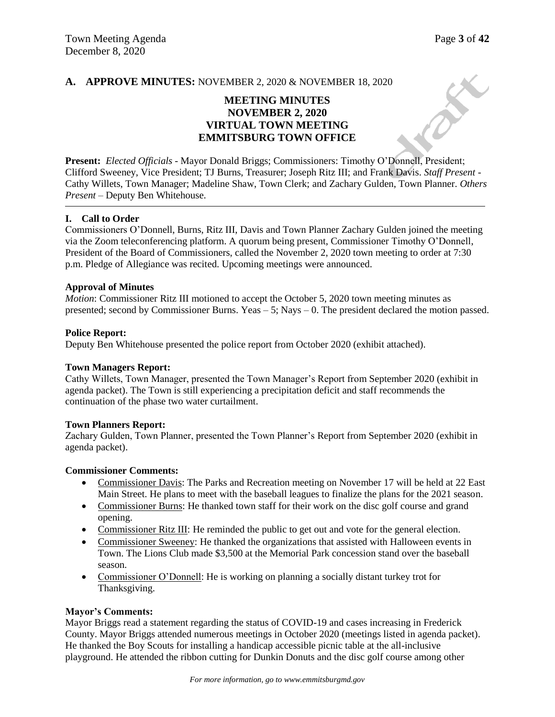X

#### **A. APPROVE MINUTES:** NOVEMBER 2, 2020 & NOVEMBER 18, 2020

# **MEETING MINUTES NOVEMBER 2, 2020 VIRTUAL TOWN MEETING EMMITSBURG TOWN OFFICE**

**Present:** *Elected Officials* - Mayor Donald Briggs; Commissioners: Timothy O'Donnell, President; Clifford Sweeney, Vice President; TJ Burns, Treasurer; Joseph Ritz III; and Frank Davis. *Staff Present* - Cathy Willets, Town Manager; Madeline Shaw, Town Clerk; and Zachary Gulden, Town Planner. *Others Present* – Deputy Ben Whitehouse.

#### **I. Call to Order**

Commissioners O'Donnell, Burns, Ritz III, Davis and Town Planner Zachary Gulden joined the meeting via the Zoom teleconferencing platform. A quorum being present, Commissioner Timothy O'Donnell, President of the Board of Commissioners, called the November 2, 2020 town meeting to order at 7:30 p.m. Pledge of Allegiance was recited. Upcoming meetings were announced.

#### **Approval of Minutes**

*Motion*: Commissioner Ritz III motioned to accept the October 5, 2020 town meeting minutes as presented; second by Commissioner Burns. Yeas  $-5$ ; Nays  $-0$ . The president declared the motion passed.

#### **Police Report:**

Deputy Ben Whitehouse presented the police report from October 2020 (exhibit attached).

#### **Town Managers Report:**

Cathy Willets, Town Manager, presented the Town Manager's Report from September 2020 (exhibit in agenda packet). The Town is still experiencing a precipitation deficit and staff recommends the continuation of the phase two water curtailment.

#### **Town Planners Report:**

Zachary Gulden, Town Planner, presented the Town Planner's Report from September 2020 (exhibit in agenda packet).

#### **Commissioner Comments:**

- Commissioner Davis: The Parks and Recreation meeting on November 17 will be held at 22 East Main Street. He plans to meet with the baseball leagues to finalize the plans for the 2021 season.
- Commissioner Burns: He thanked town staff for their work on the disc golf course and grand opening.
- Commissioner Ritz III: He reminded the public to get out and vote for the general election.
- Commissioner Sweeney: He thanked the organizations that assisted with Halloween events in Town. The Lions Club made \$3,500 at the Memorial Park concession stand over the baseball season.
- Commissioner O'Donnell: He is working on planning a socially distant turkey trot for Thanksgiving.

#### **Mayor's Comments:**

Mayor Briggs read a statement regarding the status of COVID-19 and cases increasing in Frederick County. Mayor Briggs attended numerous meetings in October 2020 (meetings listed in agenda packet). He thanked the Boy Scouts for installing a handicap accessible picnic table at the all-inclusive playground. He attended the ribbon cutting for Dunkin Donuts and the disc golf course among other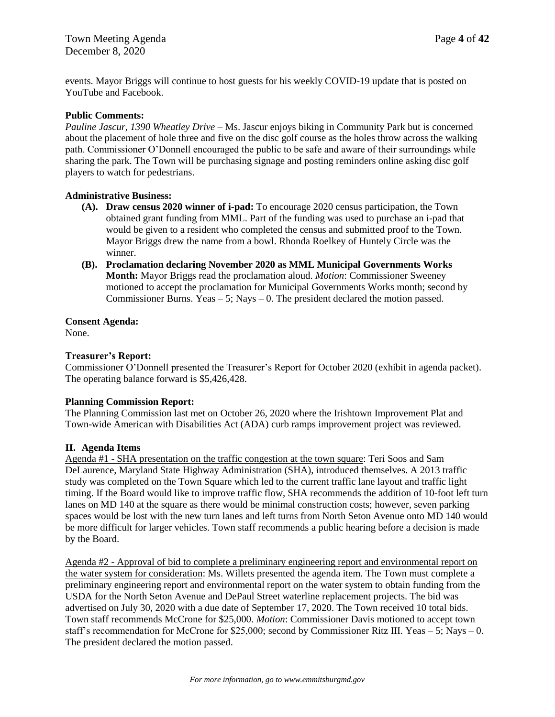events. Mayor Briggs will continue to host guests for his weekly COVID-19 update that is posted on YouTube and Facebook.

#### **Public Comments:**

*Pauline Jascur, 1390 Wheatley Drive* – Ms. Jascur enjoys biking in Community Park but is concerned about the placement of hole three and five on the disc golf course as the holes throw across the walking path. Commissioner O'Donnell encouraged the public to be safe and aware of their surroundings while sharing the park. The Town will be purchasing signage and posting reminders online asking disc golf players to watch for pedestrians.

#### **Administrative Business:**

- **(A). Draw census 2020 winner of i-pad:** To encourage 2020 census participation, the Town obtained grant funding from MML. Part of the funding was used to purchase an i-pad that would be given to a resident who completed the census and submitted proof to the Town. Mayor Briggs drew the name from a bowl. Rhonda Roelkey of Huntely Circle was the winner.
- **(B). Proclamation declaring November 2020 as MML Municipal Governments Works Month:** Mayor Briggs read the proclamation aloud. *Motion*: Commissioner Sweeney motioned to accept the proclamation for Municipal Governments Works month; second by Commissioner Burns. Yeas – 5; Nays – 0. The president declared the motion passed.

#### **Consent Agenda:**

None.

#### **Treasurer's Report:**

Commissioner O'Donnell presented the Treasurer's Report for October 2020 (exhibit in agenda packet). The operating balance forward is \$5,426,428.

#### **Planning Commission Report:**

The Planning Commission last met on October 26, 2020 where the Irishtown Improvement Plat and Town-wide American with Disabilities Act (ADA) curb ramps improvement project was reviewed.

#### **II. Agenda Items**

Agenda #1 - SHA presentation on the traffic congestion at the town square: Teri Soos and Sam DeLaurence, Maryland State Highway Administration (SHA), introduced themselves. A 2013 traffic study was completed on the Town Square which led to the current traffic lane layout and traffic light timing. If the Board would like to improve traffic flow, SHA recommends the addition of 10-foot left turn lanes on MD 140 at the square as there would be minimal construction costs; however, seven parking spaces would be lost with the new turn lanes and left turns from North Seton Avenue onto MD 140 would be more difficult for larger vehicles. Town staff recommends a public hearing before a decision is made by the Board.

Agenda #2 - Approval of bid to complete a preliminary engineering report and environmental report on the water system for consideration: Ms. Willets presented the agenda item. The Town must complete a preliminary engineering report and environmental report on the water system to obtain funding from the USDA for the North Seton Avenue and DePaul Street waterline replacement projects. The bid was advertised on July 30, 2020 with a due date of September 17, 2020. The Town received 10 total bids. Town staff recommends McCrone for \$25,000. *Motion*: Commissioner Davis motioned to accept town staff's recommendation for McCrone for \$25,000; second by Commissioner Ritz III. Yeas – 5; Nays – 0. The president declared the motion passed.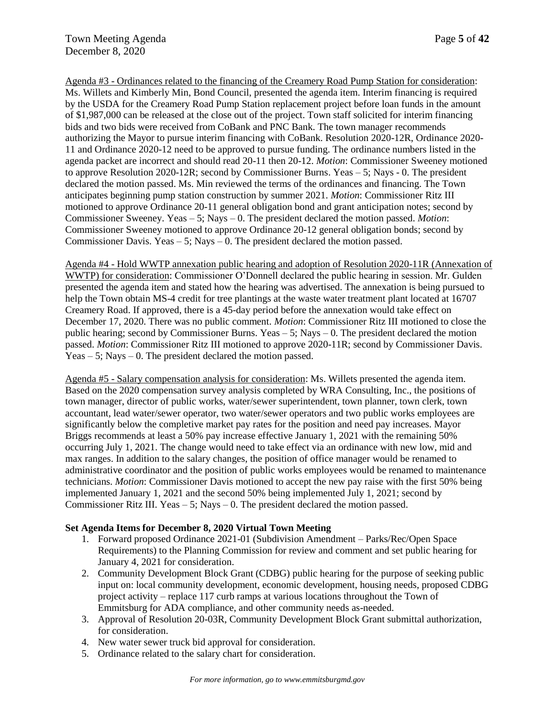Agenda #3 - Ordinances related to the financing of the Creamery Road Pump Station for consideration: Ms. Willets and Kimberly Min, Bond Council, presented the agenda item. Interim financing is required by the USDA for the Creamery Road Pump Station replacement project before loan funds in the amount of \$1,987,000 can be released at the close out of the project. Town staff solicited for interim financing bids and two bids were received from CoBank and PNC Bank. The town manager recommends authorizing the Mayor to pursue interim financing with CoBank. Resolution 2020-12R, Ordinance 2020- 11 and Ordinance 2020-12 need to be approved to pursue funding. The ordinance numbers listed in the agenda packet are incorrect and should read 20-11 then 20-12. *Motion*: Commissioner Sweeney motioned to approve Resolution 2020-12R; second by Commissioner Burns. Yeas – 5; Nays - 0. The president declared the motion passed. Ms. Min reviewed the terms of the ordinances and financing. The Town anticipates beginning pump station construction by summer 2021. *Motion*: Commissioner Ritz III motioned to approve Ordinance 20-11 general obligation bond and grant anticipation notes; second by Commissioner Sweeney. Yeas – 5; Nays – 0. The president declared the motion passed. *Motion*: Commissioner Sweeney motioned to approve Ordinance 20-12 general obligation bonds; second by Commissioner Davis. Yeas – 5; Nays – 0. The president declared the motion passed.

Agenda #4 - Hold WWTP annexation public hearing and adoption of Resolution 2020-11R (Annexation of WWTP) for consideration: Commissioner O'Donnell declared the public hearing in session. Mr. Gulden presented the agenda item and stated how the hearing was advertised. The annexation is being pursued to help the Town obtain MS-4 credit for tree plantings at the waste water treatment plant located at 16707 Creamery Road. If approved, there is a 45-day period before the annexation would take effect on December 17, 2020. There was no public comment. *Motion*: Commissioner Ritz III motioned to close the public hearing; second by Commissioner Burns. Yeas  $-5$ ; Nays  $-0$ . The president declared the motion passed. *Motion*: Commissioner Ritz III motioned to approve 2020-11R; second by Commissioner Davis.  $Y$ eas – 5: Nays – 0. The president declared the motion passed.

Agenda #5 - Salary compensation analysis for consideration: Ms. Willets presented the agenda item. Based on the 2020 compensation survey analysis completed by WRA Consulting, Inc., the positions of town manager, director of public works, water/sewer superintendent, town planner, town clerk, town accountant, lead water/sewer operator, two water/sewer operators and two public works employees are significantly below the completive market pay rates for the position and need pay increases. Mayor Briggs recommends at least a 50% pay increase effective January 1, 2021 with the remaining 50% occurring July 1, 2021. The change would need to take effect via an ordinance with new low, mid and max ranges. In addition to the salary changes, the position of office manager would be renamed to administrative coordinator and the position of public works employees would be renamed to maintenance technicians. *Motion*: Commissioner Davis motioned to accept the new pay raise with the first 50% being implemented January 1, 2021 and the second 50% being implemented July 1, 2021; second by Commissioner Ritz III. Yeas  $-5$ ; Nays  $-0$ . The president declared the motion passed.

## **Set Agenda Items for December 8, 2020 Virtual Town Meeting**

- 1. Forward proposed Ordinance 2021-01 (Subdivision Amendment Parks/Rec/Open Space Requirements) to the Planning Commission for review and comment and set public hearing for January 4, 2021 for consideration.
- 2. Community Development Block Grant (CDBG) public hearing for the purpose of seeking public input on: local community development, economic development, housing needs, proposed CDBG project activity – replace 117 curb ramps at various locations throughout the Town of Emmitsburg for ADA compliance, and other community needs as-needed.
- 3. Approval of Resolution 20-03R, Community Development Block Grant submittal authorization, for consideration.
- 4. New water sewer truck bid approval for consideration.
- 5. Ordinance related to the salary chart for consideration.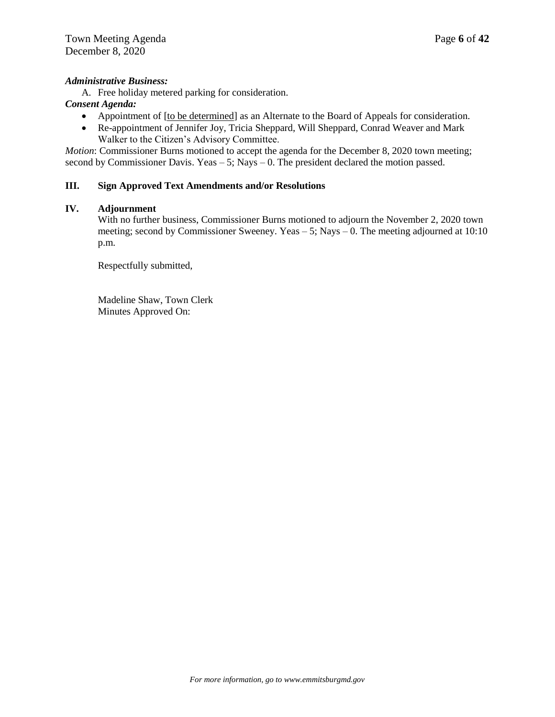#### *Administrative Business:*

A. Free holiday metered parking for consideration.

## *Consent Agenda:*

- Appointment of [to be determined] as an Alternate to the Board of Appeals for consideration.
- Re-appointment of Jennifer Joy, Tricia Sheppard, Will Sheppard, Conrad Weaver and Mark Walker to the Citizen's Advisory Committee.

*Motion*: Commissioner Burns motioned to accept the agenda for the December 8, 2020 town meeting; second by Commissioner Davis. Yeas  $-5$ ; Nays  $-0$ . The president declared the motion passed.

#### **III. Sign Approved Text Amendments and/or Resolutions**

#### **IV. Adjournment**

With no further business, Commissioner Burns motioned to adjourn the November 2, 2020 town meeting; second by Commissioner Sweeney. Yeas – 5; Nays – 0. The meeting adjourned at 10:10 p.m.

Respectfully submitted,

Madeline Shaw, Town Clerk Minutes Approved On: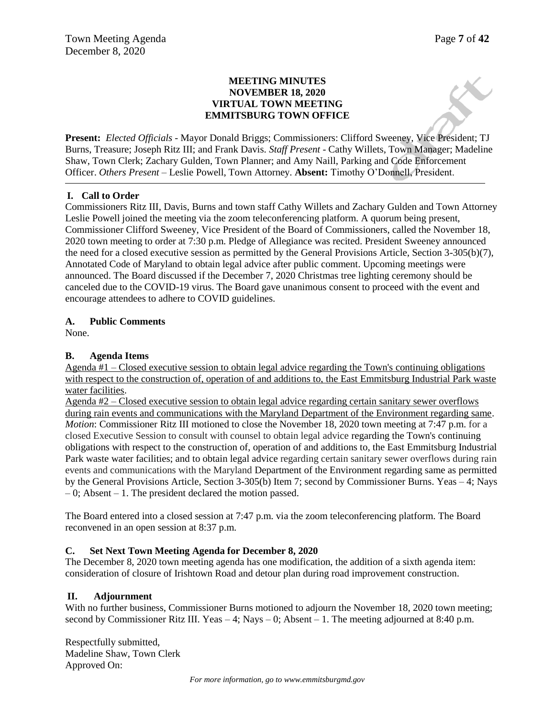### **MEETING MINUTES NOVEMBER 18, 2020 VIRTUAL TOWN MEETING EMMITSBURG TOWN OFFICE**

**Present:** *Elected Officials* - Mayor Donald Briggs; Commissioners: Clifford Sweeney, Vice President; TJ Burns, Treasure; Joseph Ritz III; and Frank Davis. *Staff Present* - Cathy Willets, Town Manager; Madeline Shaw, Town Clerk; Zachary Gulden, Town Planner; and Amy Naill, Parking and Code Enforcement Officer. *Others Present* – Leslie Powell, Town Attorney. **Absent:** Timothy O'Donnell, President.

## **I. Call to Order**

Commissioners Ritz III, Davis, Burns and town staff Cathy Willets and Zachary Gulden and Town Attorney Leslie Powell joined the meeting via the zoom teleconferencing platform. A quorum being present, Commissioner Clifford Sweeney, Vice President of the Board of Commissioners, called the November 18, 2020 town meeting to order at 7:30 p.m. Pledge of Allegiance was recited. President Sweeney announced the need for a closed executive session as permitted by the General Provisions Article, Section 3-305(b)(7), Annotated Code of Maryland to obtain legal advice after public comment. Upcoming meetings were announced. The Board discussed if the December 7, 2020 Christmas tree lighting ceremony should be canceled due to the COVID-19 virus. The Board gave unanimous consent to proceed with the event and encourage attendees to adhere to COVID guidelines.

### **A. Public Comments**

None.

### **B. Agenda Items**

Agenda #1 – Closed executive session to obtain legal advice regarding the Town's continuing obligations with respect to the construction of, operation of and additions to, the East Emmitsburg Industrial Park waste water facilities.

Agenda #2 – Closed executive session to obtain legal advice regarding certain sanitary sewer overflows during rain events and communications with the Maryland Department of the Environment regarding same. *Motion*: Commissioner Ritz III motioned to close the November 18, 2020 town meeting at 7:47 p.m. for a closed Executive Session to consult with counsel to obtain legal advice regarding the Town's continuing obligations with respect to the construction of, operation of and additions to, the East Emmitsburg Industrial Park waste water facilities; and to obtain legal advice regarding certain sanitary sewer overflows during rain events and communications with the Maryland Department of the Environment regarding same as permitted by the General Provisions Article, Section 3-305(b) Item 7; second by Commissioner Burns. Yeas – 4; Nays – 0; Absent – 1. The president declared the motion passed.

The Board entered into a closed session at 7:47 p.m. via the zoom teleconferencing platform. The Board reconvened in an open session at 8:37 p.m.

#### **C. Set Next Town Meeting Agenda for December 8, 2020**

The December 8, 2020 town meeting agenda has one modification, the addition of a sixth agenda item: consideration of closure of Irishtown Road and detour plan during road improvement construction.

#### **II. Adjournment**

With no further business, Commissioner Burns motioned to adjourn the November 18, 2020 town meeting; second by Commissioner Ritz III. Yeas  $-4$ ; Nays  $-0$ ; Absent  $-1$ . The meeting adjourned at 8:40 p.m.

Respectfully submitted, Madeline Shaw, Town Clerk Approved On: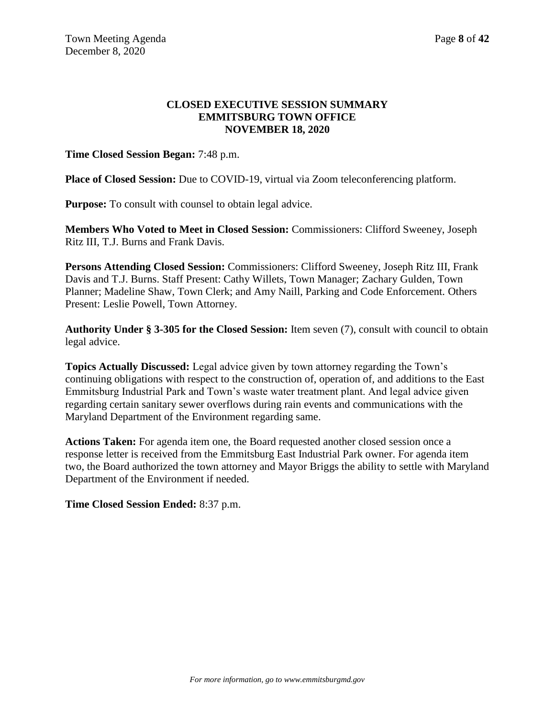## **CLOSED EXECUTIVE SESSION SUMMARY EMMITSBURG TOWN OFFICE NOVEMBER 18, 2020**

**Time Closed Session Began:** 7:48 p.m.

Place of Closed Session: Due to COVID-19, virtual via Zoom teleconferencing platform.

**Purpose:** To consult with counsel to obtain legal advice.

**Members Who Voted to Meet in Closed Session:** Commissioners: Clifford Sweeney, Joseph Ritz III, T.J. Burns and Frank Davis.

**Persons Attending Closed Session:** Commissioners: Clifford Sweeney, Joseph Ritz III, Frank Davis and T.J. Burns. Staff Present: Cathy Willets, Town Manager; Zachary Gulden, Town Planner; Madeline Shaw, Town Clerk; and Amy Naill, Parking and Code Enforcement. Others Present: Leslie Powell, Town Attorney.

**Authority Under § 3-305 for the Closed Session:** Item seven (7), consult with council to obtain legal advice.

**Topics Actually Discussed:** Legal advice given by town attorney regarding the Town's continuing obligations with respect to the construction of, operation of, and additions to the East Emmitsburg Industrial Park and Town's waste water treatment plant. And legal advice given regarding certain sanitary sewer overflows during rain events and communications with the Maryland Department of the Environment regarding same.

**Actions Taken:** For agenda item one, the Board requested another closed session once a response letter is received from the Emmitsburg East Industrial Park owner. For agenda item two, the Board authorized the town attorney and Mayor Briggs the ability to settle with Maryland Department of the Environment if needed.

**Time Closed Session Ended:** 8:37 p.m.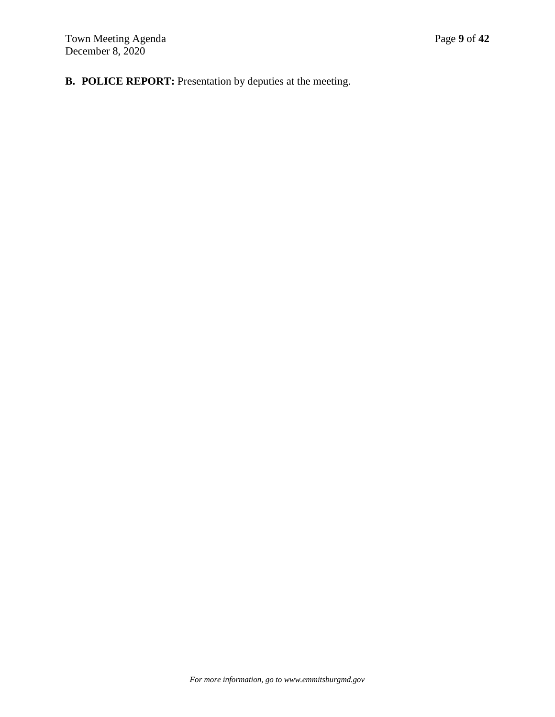**B. POLICE REPORT:** Presentation by deputies at the meeting.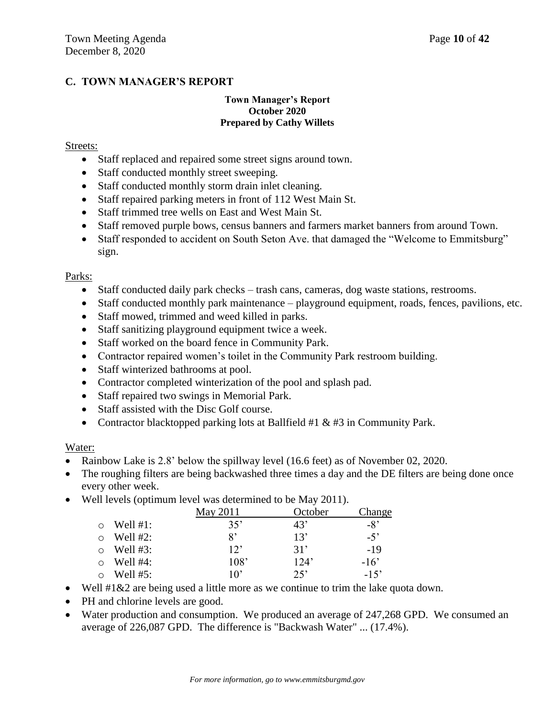# **C. TOWN MANAGER'S REPORT**

### **Town Manager's Report October 2020 Prepared by Cathy Willets**

## Streets:

- Staff replaced and repaired some street signs around town.
- Staff conducted monthly street sweeping.
- Staff conducted monthly storm drain inlet cleaning.
- Staff repaired parking meters in front of 112 West Main St.
- Staff trimmed tree wells on East and West Main St.
- Staff removed purple bows, census banners and farmers market banners from around Town.
- Staff responded to accident on South Seton Ave. that damaged the "Welcome to Emmitsburg" sign.

### Parks:

- Staff conducted daily park checks trash cans, cameras, dog waste stations, restrooms.
- Staff conducted monthly park maintenance playground equipment, roads, fences, pavilions, etc.
- Staff mowed, trimmed and weed killed in parks.
- Staff sanitizing playground equipment twice a week.
- Staff worked on the board fence in Community Park.
- Contractor repaired women's toilet in the Community Park restroom building.
- Staff winterized bathrooms at pool.
- Contractor completed winterization of the pool and splash pad.
- Staff repaired two swings in Memorial Park.
- Staff assisted with the Disc Golf course.
- Contractor blacktopped parking lots at Ballfield  $#1 \& #3$  in Community Park.

#### Water:

- Rainbow Lake is 2.8' below the spillway level (16.6 feet) as of November 02, 2020.
- The roughing filters are being backwashed three times a day and the DE filters are being done once every other week.
- Well levels (optimum level was determined to be May 2011).

|  |             | May 2011 | October | Change |  |
|--|-------------|----------|---------|--------|--|
|  | Well $#1$ : | 35'      | 43'     | -8'    |  |
|  | Well #2:    | 8'       | 13'     | $-5$ ' |  |
|  | Well $#3$ : | 12       | 31'     | -19    |  |
|  | Well $#4$ : | 108'     | 124'    | $-16'$ |  |
|  | Well #5:    | 10'      | 25      | $-15'$ |  |

- Well  $\#1\&2$  are being used a little more as we continue to trim the lake quota down.
- PH and chlorine levels are good.
- Water production and consumption. We produced an average of 247,268 GPD. We consumed an average of 226,087 GPD. The difference is "Backwash Water" ... (17.4%).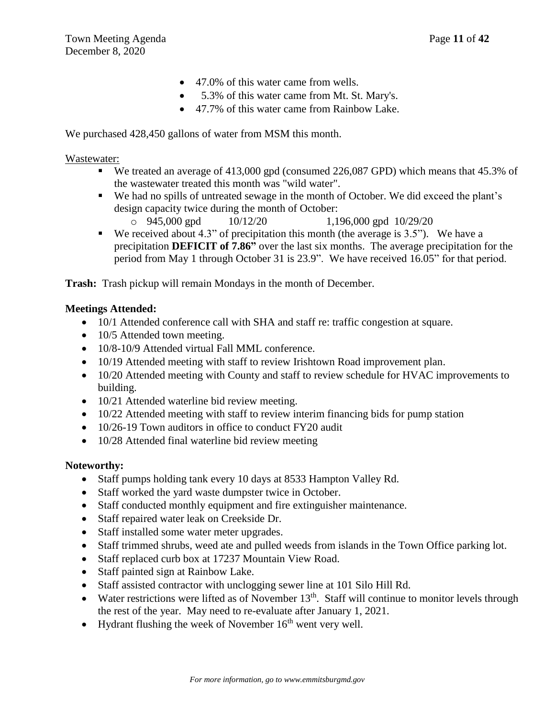- 47.0% of this water came from wells.
- 5.3% of this water came from Mt. St. Mary's.
- 47.7% of this water came from Rainbow Lake.

We purchased  $428,450$  gallons of water from MSM this month.

## Wastewater:

- We treated an average of 413,000 gpd (consumed 226,087 GPD) which means that 45.3% of the wastewater treated this month was "wild water".
- We had no spills of untreated sewage in the month of October. We did exceed the plant's design capacity twice during the month of October:
	- $\degree$  945,000 gpd 10/12/20 1,196,000 gpd 10/29/20
- We received about 4.3" of precipitation this month (the average is  $3.5$ "). We have a precipitation **DEFICIT of 7.86"** over the last six months. The average precipitation for the period from May 1 through October 31 is 23.9". We have received 16.05" for that period.

**Trash:** Trash pickup will remain Mondays in the month of December.

# **Meetings Attended:**

- 10/1 Attended conference call with SHA and staff re: traffic congestion at square.
- 10/5 Attended town meeting.
- 10/8-10/9 Attended virtual Fall MML conference.
- 10/19 Attended meeting with staff to review Irishtown Road improvement plan.
- 10/20 Attended meeting with County and staff to review schedule for HVAC improvements to building.
- 10/21 Attended waterline bid review meeting.
- $\bullet$  10/22 Attended meeting with staff to review interim financing bids for pump station
- 10/26-19 Town auditors in office to conduct FY20 audit
- 10/28 Attended final waterline bid review meeting

# **Noteworthy:**

- Staff pumps holding tank every 10 days at 8533 Hampton Valley Rd.
- Staff worked the yard waste dumpster twice in October.
- Staff conducted monthly equipment and fire extinguisher maintenance.
- Staff repaired water leak on Creekside Dr.
- Staff installed some water meter upgrades.
- Staff trimmed shrubs, weed ate and pulled weeds from islands in the Town Office parking lot.
- Staff replaced curb box at 17237 Mountain View Road.
- Staff painted sign at Rainbow Lake.
- Staff assisted contractor with unclogging sewer line at 101 Silo Hill Rd.
- $\bullet$  Water restrictions were lifted as of November 13<sup>th</sup>. Staff will continue to monitor levels through the rest of the year. May need to re-evaluate after January 1, 2021.
- Hydrant flushing the week of November  $16<sup>th</sup>$  went very well.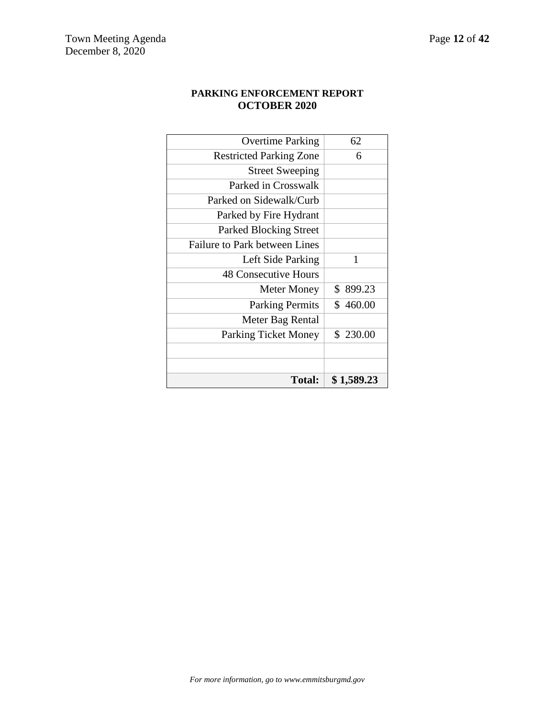## **PARKING ENFORCEMENT REPORT OCTOBER 2020**

| <b>Total:</b>                        | \$ 1,589.23 |
|--------------------------------------|-------------|
|                                      |             |
|                                      |             |
| <b>Parking Ticket Money</b>          | \$230.00    |
| Meter Bag Rental                     |             |
| <b>Parking Permits</b>               | \$460.00    |
| Meter Money                          | \$899.23    |
| <b>48 Consecutive Hours</b>          |             |
| Left Side Parking                    | 1           |
| <b>Failure to Park between Lines</b> |             |
| <b>Parked Blocking Street</b>        |             |
| Parked by Fire Hydrant               |             |
| Parked on Sidewalk/Curb              |             |
| Parked in Crosswalk                  |             |
| <b>Street Sweeping</b>               |             |
| <b>Restricted Parking Zone</b>       | 6           |
| <b>Overtime Parking</b>              | 62          |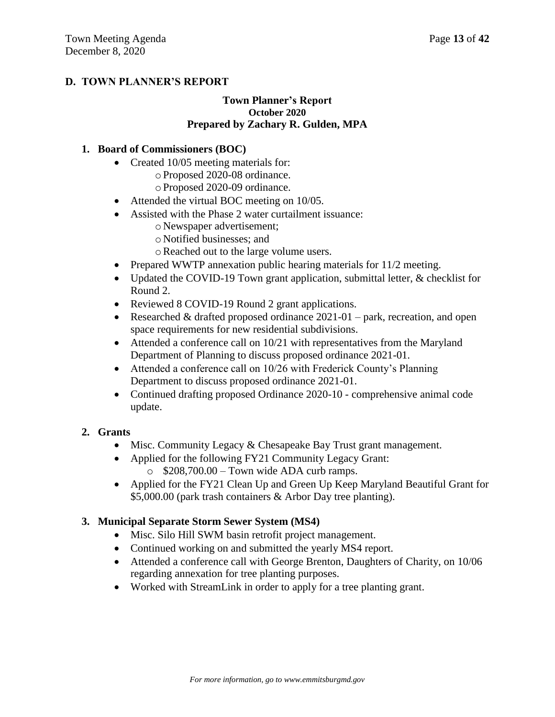# **D. TOWN PLANNER'S REPORT**

## **Town Planner's Report October 2020 Prepared by Zachary R. Gulden, MPA**

## **1. Board of Commissioners (BOC)**

- Created 10/05 meeting materials for:
	- oProposed 2020-08 ordinance.
	- oProposed 2020-09 ordinance.
- Attended the virtual BOC meeting on 10/05.
- Assisted with the Phase 2 water curtailment issuance:
	- o Newspaper advertisement;
	- o Notified businesses; and
	- oReached out to the large volume users.
- Prepared WWTP annexation public hearing materials for  $11/2$  meeting.
- Updated the COVID-19 Town grant application, submittal letter, & checklist for Round 2.
- Reviewed 8 COVID-19 Round 2 grant applications.
- Researched & drafted proposed ordinance  $2021-01$  park, recreation, and open space requirements for new residential subdivisions.
- Attended a conference call on  $10/21$  with representatives from the Maryland Department of Planning to discuss proposed ordinance 2021-01.
- Attended a conference call on 10/26 with Frederick County's Planning Department to discuss proposed ordinance 2021-01.
- Continued drafting proposed Ordinance 2020-10 comprehensive animal code update.

# **2. Grants**

- Misc. Community Legacy & Chesapeake Bay Trust grant management.
- Applied for the following FY21 Community Legacy Grant:
	- $\circ$  \$208,700.00 Town wide ADA curb ramps.
- Applied for the FY21 Clean Up and Green Up Keep Maryland Beautiful Grant for \$5,000.00 (park trash containers & Arbor Day tree planting).

# **3. Municipal Separate Storm Sewer System (MS4)**

- Misc. Silo Hill SWM basin retrofit project management.
- Continued working on and submitted the yearly MS4 report.
- Attended a conference call with George Brenton, Daughters of Charity, on 10/06 regarding annexation for tree planting purposes.
- Worked with StreamLink in order to apply for a tree planting grant.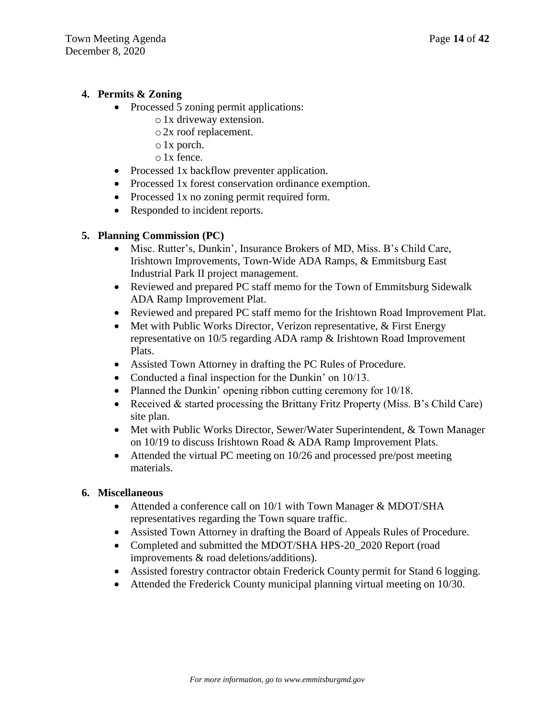## **4. Permits & Zoning**

- Processed 5 zoning permit applications:
	- o1x driveway extension.
	- o2x roof replacement.
	- o1x porch.
	- o1x fence.
- Processed 1x backflow preventer application.
- Processed 1x forest conservation ordinance exemption.
- Processed 1x no zoning permit required form.
- Responded to incident reports.

## **5. Planning Commission (PC)**

- Misc. Rutter's, Dunkin', Insurance Brokers of MD, Miss. B's Child Care, Irishtown Improvements, Town-Wide ADA Ramps, & Emmitsburg East Industrial Park II project management.
- Reviewed and prepared PC staff memo for the Town of Emmitsburg Sidewalk ADA Ramp Improvement Plat.
- Reviewed and prepared PC staff memo for the Irishtown Road Improvement Plat.
- Met with Public Works Director, Verizon representative, & First Energy representative on 10/5 regarding ADA ramp & Irishtown Road Improvement Plats.
- Assisted Town Attorney in drafting the PC Rules of Procedure.
- Conducted a final inspection for the Dunkin' on 10/13.
- Planned the Dunkin' opening ribbon cutting ceremony for 10/18.
- Received  $&$  started processing the Brittany Fritz Property (Miss. B's Child Care) site plan.
- Met with Public Works Director, Sewer/Water Superintendent, & Town Manager on 10/19 to discuss Irishtown Road & ADA Ramp Improvement Plats.
- Attended the virtual PC meeting on 10/26 and processed pre/post meeting materials.

## **6. Miscellaneous**

- Attended a conference call on 10/1 with Town Manager & MDOT/SHA representatives regarding the Town square traffic.
- Assisted Town Attorney in drafting the Board of Appeals Rules of Procedure.
- Completed and submitted the MDOT/SHA HPS-20 2020 Report (road improvements & road deletions/additions).
- Assisted forestry contractor obtain Frederick County permit for Stand 6 logging.
- Attended the Frederick County municipal planning virtual meeting on 10/30.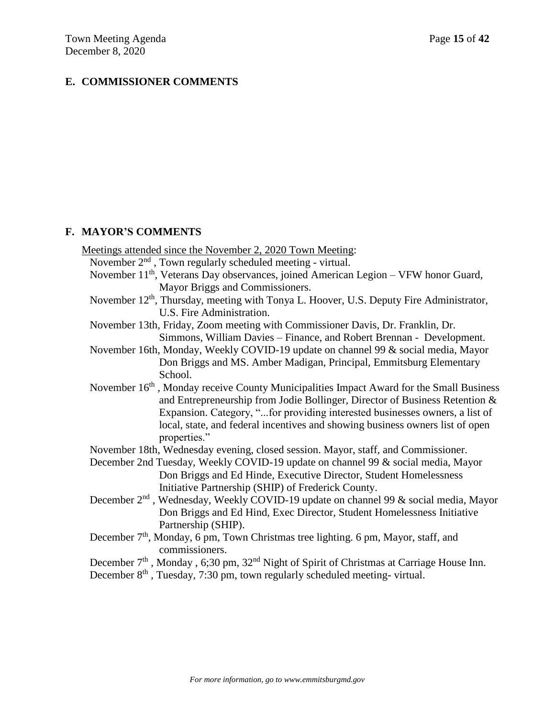## **E. COMMISSIONER COMMENTS**

### **F. MAYOR'S COMMENTS**

Meetings attended since the November 2, 2020 Town Meeting: November  $2<sup>nd</sup>$ , Town regularly scheduled meeting - virtual. November 11<sup>th</sup>, Veterans Day observances, joined American Legion – VFW honor Guard, Mayor Briggs and Commissioners. November 12<sup>th</sup>, Thursday, meeting with Tonya L. Hoover, U.S. Deputy Fire Administrator, U.S. Fire Administration. November 13th, Friday, Zoom meeting with Commissioner Davis, Dr. Franklin, Dr. Simmons, William Davies – Finance, and Robert Brennan - Development. November 16th, Monday, Weekly COVID-19 update on channel 99 & social media, Mayor Don Briggs and MS. Amber Madigan, Principal, Emmitsburg Elementary School. November 16<sup>th</sup>, Monday receive County Municipalities Impact Award for the Small Business and Entrepreneurship from Jodie Bollinger, Director of Business Retention & Expansion. Category, "...for providing interested businesses owners, a list of local, state, and federal incentives and showing business owners list of open

November 18th, Wednesday evening, closed session. Mayor, staff, and Commissioner.

properties."

December 2nd Tuesday, Weekly COVID-19 update on channel 99 & social media, Mayor Don Briggs and Ed Hinde, Executive Director, Student Homelessness Initiative Partnership (SHIP) of Frederick County.

- December 2<sup>nd</sup>, Wednesday, Weekly COVID-19 update on channel 99 & social media, Mayor Don Briggs and Ed Hind, Exec Director, Student Homelessness Initiative Partnership (SHIP).
- December 7<sup>th</sup>, Monday, 6 pm, Town Christmas tree lighting. 6 pm, Mayor, staff, and commissioners.

December 7<sup>th</sup>, Monday, 6;30 pm, 32<sup>nd</sup> Night of Spirit of Christmas at Carriage House Inn.

December  $8<sup>th</sup>$ , Tuesday, 7:30 pm, town regularly scheduled meeting- virtual.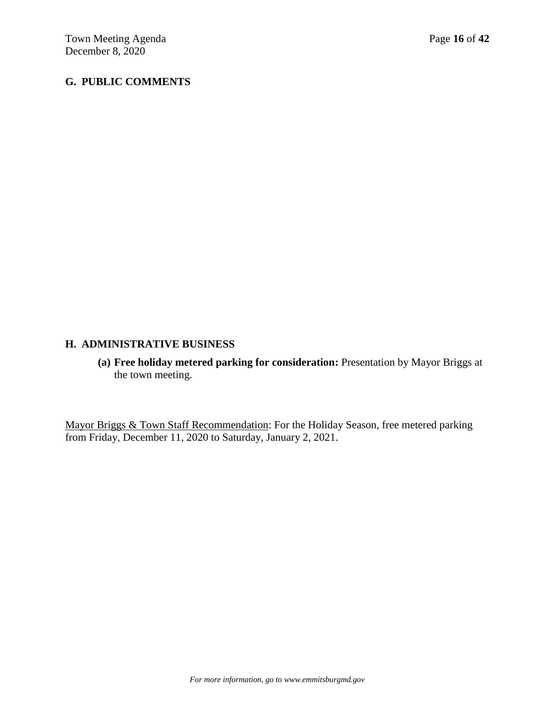# **G. PUBLIC COMMENTS**

## **H. ADMINISTRATIVE BUSINESS**

**(a) Free holiday metered parking for consideration:** Presentation by Mayor Briggs at the town meeting.

Mayor Briggs & Town Staff Recommendation: For the Holiday Season, free metered parking from Friday, December 11, 2020 to Saturday, January 2, 2021.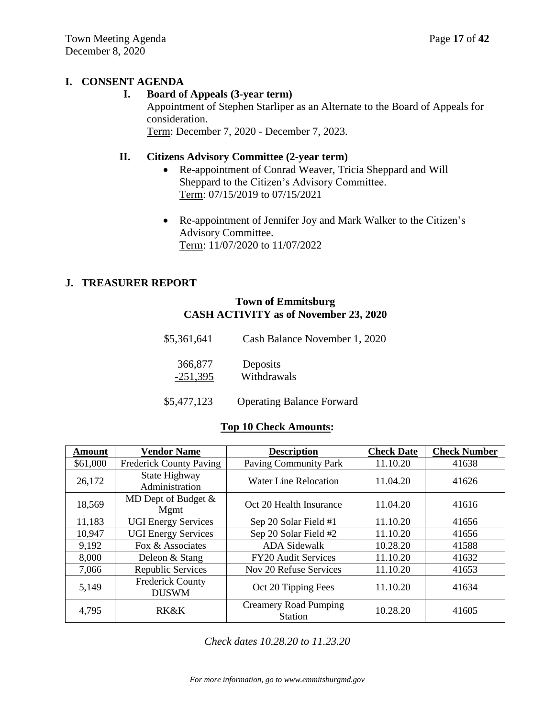# **I. CONSENT AGENDA**

## **I. Board of Appeals (3-year term)**

Appointment of Stephen Starliper as an Alternate to the Board of Appeals for consideration.

Term: December 7, 2020 - December 7, 2023.

# **II. Citizens Advisory Committee (2-year term)**

- Re-appointment of Conrad Weaver, Tricia Sheppard and Will Sheppard to the Citizen's Advisory Committee. Term: 07/15/2019 to 07/15/2021
- Re-appointment of Jennifer Joy and Mark Walker to the Citizen's Advisory Committee. Term: 11/07/2020 to 11/07/2022

# **J. TREASURER REPORT**

## **Town of Emmitsburg CASH ACTIVITY as of November 23, 2020**

| \$5,361,641           | Cash Balance November 1, 2020    |
|-----------------------|----------------------------------|
| 366,877<br>$-251,395$ | Deposits<br>Withdrawals          |
| \$5,477,123           | <b>Operating Balance Forward</b> |

# **Top 10 Check Amounts:**

| Amount   | <b>Vendor Name</b>                      | <b>Description</b>                             | <b>Check Date</b> | <b>Check Number</b> |
|----------|-----------------------------------------|------------------------------------------------|-------------------|---------------------|
| \$61,000 | <b>Frederick County Paving</b>          | <b>Paving Community Park</b>                   | 11.10.20          | 41638               |
| 26,172   | State Highway<br>Administration         | <b>Water Line Relocation</b>                   | 11.04.20          | 41626               |
| 18,569   | MD Dept of Budget $\&$<br>Mgmt          | Oct 20 Health Insurance                        | 11.04.20          | 41616               |
| 11,183   | <b>UGI Energy Services</b>              | Sep 20 Solar Field #1                          | 11.10.20          | 41656               |
| 10,947   | <b>UGI Energy Services</b>              | Sep 20 Solar Field #2                          | 11.10.20          | 41656               |
| 9,192    | Fox & Associates                        | <b>ADA Sidewalk</b>                            | 10.28.20          | 41588               |
| 8,000    | Deleon & Stang                          | <b>FY20 Audit Services</b>                     | 11.10.20          | 41632               |
| 7,066    | Republic Services                       | Nov 20 Refuse Services                         | 11.10.20          | 41653               |
| 5,149    | <b>Frederick County</b><br><b>DUSWM</b> | Oct 20 Tipping Fees                            | 11.10.20          | 41634               |
| 4,795    | RK&K                                    | <b>Creamery Road Pumping</b><br><b>Station</b> | 10.28.20          | 41605               |

*Check dates 10.28.20 to 11.23.20*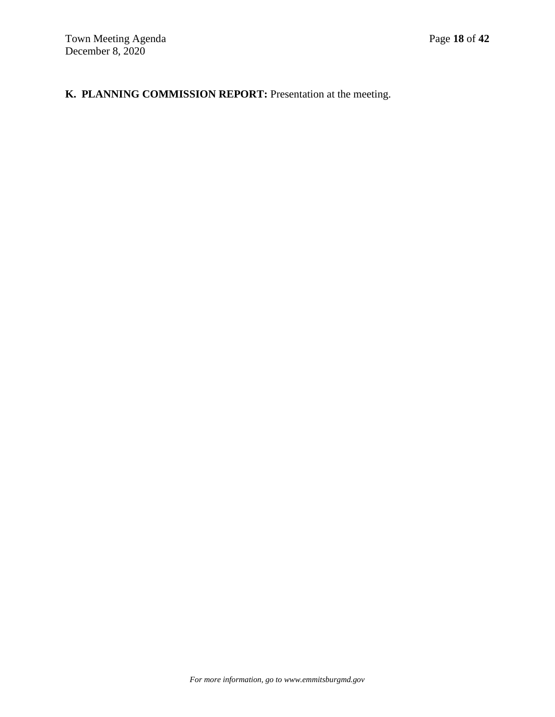# **K. PLANNING COMMISSION REPORT:** Presentation at the meeting.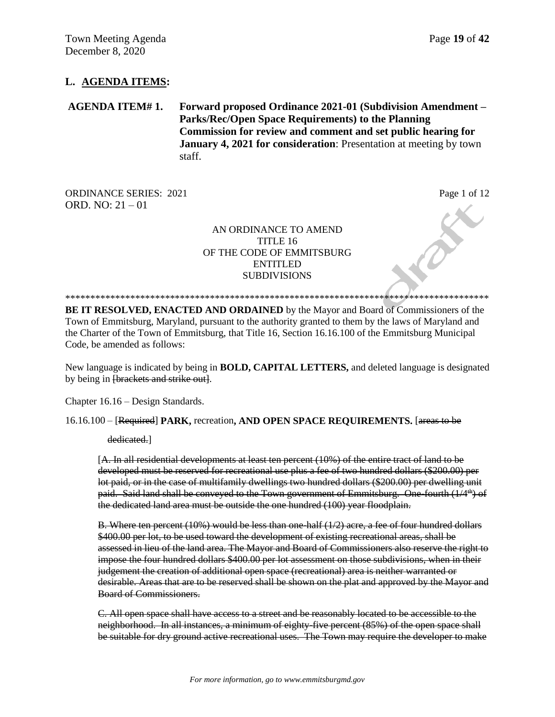## **L. AGENDA ITEMS:**

**AGENDA ITEM# 1. Forward proposed Ordinance 2021-01 (Subdivision Amendment – Parks/Rec/Open Space Requirements) to the Planning Commission for review and comment and set public hearing for January 4, 2021 for consideration**: Presentation at meeting by town staff.

ORDINANCE SERIES: 2021 Page 1 of 12 ORD. NO: 21 – 01

### AN ORDINANCE TO AMEND TITLE 16 OF THE CODE OF EMMITSBURG ENTITLED **SUBDIVISIONS**

\*\*\*\*\*\*\*\*\*\*\*\*\*\*\*\*\*\*\*\*\*\*\*\*\*\*\*\*\*\*\*\*\*\*\*\*\*\*\*\*\*\*\*\*\*\*\*\*\*\*\*\*\*\*\*\*\*\*\*\*\*\*\*\*\*\*\*\*\*\*\*\*\*\*\*\*\*\*\*\*\*\*\*\*\* **BE IT RESOLVED, ENACTED AND ORDAINED** by the Mayor and Board of Commissioners of the Town of Emmitsburg, Maryland, pursuant to the authority granted to them by the laws of Maryland and the Charter of the Town of Emmitsburg, that Title 16, Section 16.16.100 of the Emmitsburg Municipal Code, be amended as follows:

New language is indicated by being in **BOLD, CAPITAL LETTERS,** and deleted language is designated by being in *[brackets and strike out]*.

Chapter 16.16 – Design Standards.

16.16.100 – [Required] **PARK,** recreation**, AND OPEN SPACE REQUIREMENTS.** [areas to be

dedicated.]

[A. In all residential developments at least ten percent (10%) of the entire tract of land to be developed must be reserved for recreational use plus a fee of two hundred dollars (\$200.00) per lot paid, or in the case of multifamily dwellings two hundred dollars (\$200.00) per dwelling unit paid. Said land shall be conveyed to the Town government of Emmitsburg. One fourth (1/4<sup>th</sup>) of the dedicated land area must be outside the one hundred (100) year floodplain.

B. Where ten percent (10%) would be less than one-half (1/2) acre, a fee of four hundred dollars \$400.00 per lot, to be used toward the development of existing recreational areas, shall be assessed in lieu of the land area. The Mayor and Board of Commissioners also reserve the right to impose the four hundred dollars \$400.00 per lot assessment on those subdivisions, when in their judgement the creation of additional open space (recreational) area is neither warranted or desirable. Areas that are to be reserved shall be shown on the plat and approved by the Mayor and Board of Commissioners.

C. All open space shall have access to a street and be reasonably located to be accessible to the neighborhood. In all instances, a minimum of eighty-five percent (85%) of the open space shall be suitable for dry ground active recreational uses. The Town may require the developer to make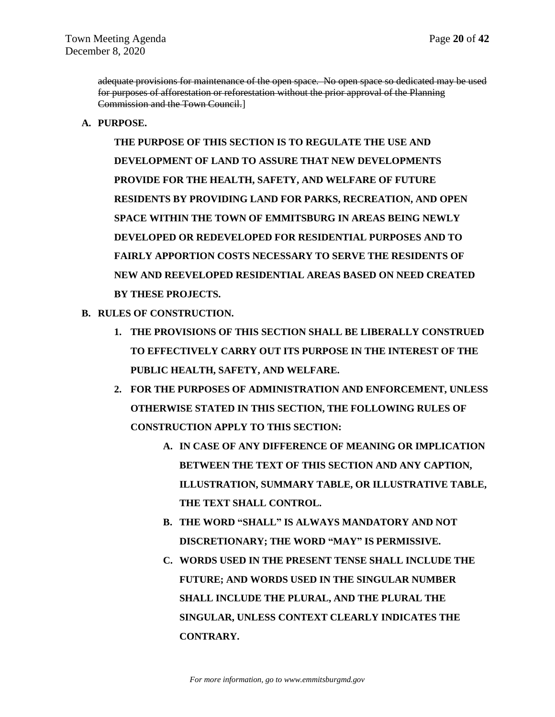adequate provisions for maintenance of the open space. No open space so dedicated may be used for purposes of afforestation or reforestation without the prior approval of the Planning Commission and the Town Council.]

**A. PURPOSE.**

**THE PURPOSE OF THIS SECTION IS TO REGULATE THE USE AND DEVELOPMENT OF LAND TO ASSURE THAT NEW DEVELOPMENTS PROVIDE FOR THE HEALTH, SAFETY, AND WELFARE OF FUTURE RESIDENTS BY PROVIDING LAND FOR PARKS, RECREATION, AND OPEN SPACE WITHIN THE TOWN OF EMMITSBURG IN AREAS BEING NEWLY DEVELOPED OR REDEVELOPED FOR RESIDENTIAL PURPOSES AND TO FAIRLY APPORTION COSTS NECESSARY TO SERVE THE RESIDENTS OF NEW AND REEVELOPED RESIDENTIAL AREAS BASED ON NEED CREATED BY THESE PROJECTS.**

- **B. RULES OF CONSTRUCTION.**
	- **1. THE PROVISIONS OF THIS SECTION SHALL BE LIBERALLY CONSTRUED TO EFFECTIVELY CARRY OUT ITS PURPOSE IN THE INTEREST OF THE PUBLIC HEALTH, SAFETY, AND WELFARE.**
	- **2. FOR THE PURPOSES OF ADMINISTRATION AND ENFORCEMENT, UNLESS OTHERWISE STATED IN THIS SECTION, THE FOLLOWING RULES OF CONSTRUCTION APPLY TO THIS SECTION:**
		- **A. IN CASE OF ANY DIFFERENCE OF MEANING OR IMPLICATION BETWEEN THE TEXT OF THIS SECTION AND ANY CAPTION, ILLUSTRATION, SUMMARY TABLE, OR ILLUSTRATIVE TABLE, THE TEXT SHALL CONTROL.**
		- **B. THE WORD "SHALL" IS ALWAYS MANDATORY AND NOT DISCRETIONARY; THE WORD "MAY" IS PERMISSIVE.**
		- **C. WORDS USED IN THE PRESENT TENSE SHALL INCLUDE THE FUTURE; AND WORDS USED IN THE SINGULAR NUMBER SHALL INCLUDE THE PLURAL, AND THE PLURAL THE SINGULAR, UNLESS CONTEXT CLEARLY INDICATES THE CONTRARY.**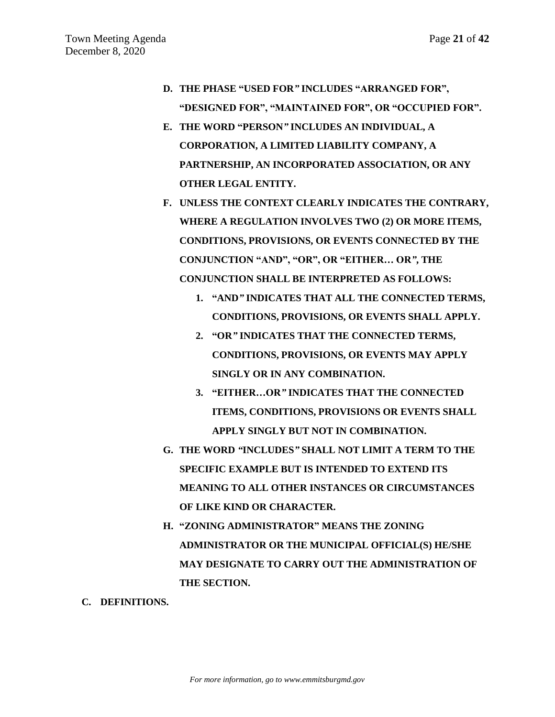- **D. THE PHASE "USED FOR***"* **INCLUDES "ARRANGED FOR", "DESIGNED FOR", "MAINTAINED FOR", OR "OCCUPIED FOR".**
- **E. THE WORD "PERSON***"* **INCLUDES AN INDIVIDUAL, A CORPORATION, A LIMITED LIABILITY COMPANY, A PARTNERSHIP, AN INCORPORATED ASSOCIATION, OR ANY OTHER LEGAL ENTITY.**
- **F. UNLESS THE CONTEXT CLEARLY INDICATES THE CONTRARY, WHERE A REGULATION INVOLVES TWO (2) OR MORE ITEMS, CONDITIONS, PROVISIONS, OR EVENTS CONNECTED BY THE CONJUNCTION "AND", "OR", OR "EITHER… OR***"***, THE CONJUNCTION SHALL BE INTERPRETED AS FOLLOWS:**
	- **1. "AND***"* **INDICATES THAT ALL THE CONNECTED TERMS, CONDITIONS, PROVISIONS, OR EVENTS SHALL APPLY.**
	- **2. "OR***"* **INDICATES THAT THE CONNECTED TERMS, CONDITIONS, PROVISIONS, OR EVENTS MAY APPLY SINGLY OR IN ANY COMBINATION.**
	- **3. "EITHER…OR***"* **INDICATES THAT THE CONNECTED ITEMS, CONDITIONS, PROVISIONS OR EVENTS SHALL APPLY SINGLY BUT NOT IN COMBINATION.**
- **G. THE WORD** *"***INCLUDES***"* **SHALL NOT LIMIT A TERM TO THE SPECIFIC EXAMPLE BUT IS INTENDED TO EXTEND ITS MEANING TO ALL OTHER INSTANCES OR CIRCUMSTANCES OF LIKE KIND OR CHARACTER.**
- **H. "ZONING ADMINISTRATOR" MEANS THE ZONING ADMINISTRATOR OR THE MUNICIPAL OFFICIAL(S) HE/SHE MAY DESIGNATE TO CARRY OUT THE ADMINISTRATION OF THE SECTION.**
- **C. DEFINITIONS.**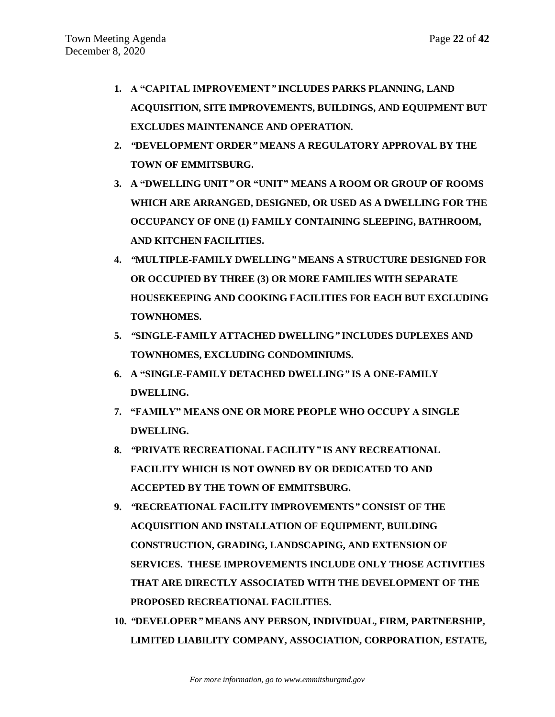- **1. A "CAPITAL IMPROVEMENT***"* **INCLUDES PARKS PLANNING, LAND ACQUISITION, SITE IMPROVEMENTS, BUILDINGS, AND EQUIPMENT BUT EXCLUDES MAINTENANCE AND OPERATION.**
- **2.** *"***DEVELOPMENT ORDER***"* **MEANS A REGULATORY APPROVAL BY THE TOWN OF EMMITSBURG.**
- **3. A "DWELLING UNIT***"* **OR "UNIT" MEANS A ROOM OR GROUP OF ROOMS WHICH ARE ARRANGED, DESIGNED, OR USED AS A DWELLING FOR THE OCCUPANCY OF ONE (1) FAMILY CONTAINING SLEEPING, BATHROOM, AND KITCHEN FACILITIES.**
- **4.** *"***MULTIPLE-FAMILY DWELLING***"* **MEANS A STRUCTURE DESIGNED FOR OR OCCUPIED BY THREE (3) OR MORE FAMILIES WITH SEPARATE HOUSEKEEPING AND COOKING FACILITIES FOR EACH BUT EXCLUDING TOWNHOMES.**
- **5.** *"***SINGLE-FAMILY ATTACHED DWELLING***"* **INCLUDES DUPLEXES AND TOWNHOMES, EXCLUDING CONDOMINIUMS.**
- **6. A "SINGLE-FAMILY DETACHED DWELLING***"* **IS A ONE-FAMILY DWELLING.**
- **7. "FAMILY" MEANS ONE OR MORE PEOPLE WHO OCCUPY A SINGLE DWELLING.**
- **8.** *"***PRIVATE RECREATIONAL FACILITY***"* **IS ANY RECREATIONAL FACILITY WHICH IS NOT OWNED BY OR DEDICATED TO AND ACCEPTED BY THE TOWN OF EMMITSBURG.**
- **9.** *"***RECREATIONAL FACILITY IMPROVEMENTS***"* **CONSIST OF THE ACQUISITION AND INSTALLATION OF EQUIPMENT, BUILDING CONSTRUCTION, GRADING, LANDSCAPING, AND EXTENSION OF SERVICES. THESE IMPROVEMENTS INCLUDE ONLY THOSE ACTIVITIES THAT ARE DIRECTLY ASSOCIATED WITH THE DEVELOPMENT OF THE PROPOSED RECREATIONAL FACILITIES.**
- **10.** *"***DEVELOPER***"* **MEANS ANY PERSON, INDIVIDUAL, FIRM, PARTNERSHIP, LIMITED LIABILITY COMPANY, ASSOCIATION, CORPORATION, ESTATE,**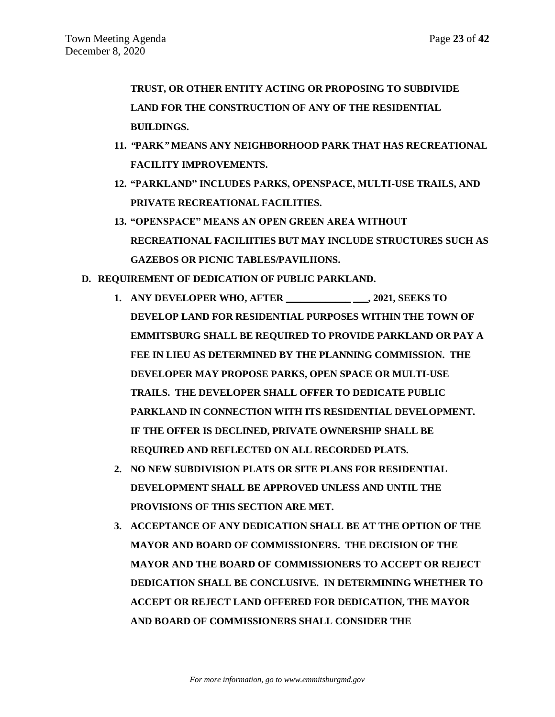**TRUST, OR OTHER ENTITY ACTING OR PROPOSING TO SUBDIVIDE LAND FOR THE CONSTRUCTION OF ANY OF THE RESIDENTIAL BUILDINGS.** 

- **11.** *"***PARK***"* **MEANS ANY NEIGHBORHOOD PARK THAT HAS RECREATIONAL FACILITY IMPROVEMENTS.**
- **12. "PARKLAND" INCLUDES PARKS, OPENSPACE, MULTI-USE TRAILS, AND PRIVATE RECREATIONAL FACILITIES.**
- **13. "OPENSPACE" MEANS AN OPEN GREEN AREA WITHOUT RECREATIONAL FACILIITIES BUT MAY INCLUDE STRUCTURES SUCH AS GAZEBOS OR PICNIC TABLES/PAVILIIONS.**
- **D. REQUIREMENT OF DEDICATION OF PUBLIC PARKLAND.**
	- **1. ANY DEVELOPER WHO, AFTER \_\_\_\_\_\_\_\_\_\_\_\_\_ \_\_\_, 2021, SEEKS TO DEVELOP LAND FOR RESIDENTIAL PURPOSES WITHIN THE TOWN OF EMMITSBURG SHALL BE REQUIRED TO PROVIDE PARKLAND OR PAY A FEE IN LIEU AS DETERMINED BY THE PLANNING COMMISSION. THE DEVELOPER MAY PROPOSE PARKS, OPEN SPACE OR MULTI-USE TRAILS. THE DEVELOPER SHALL OFFER TO DEDICATE PUBLIC PARKLAND IN CONNECTION WITH ITS RESIDENTIAL DEVELOPMENT. IF THE OFFER IS DECLINED, PRIVATE OWNERSHIP SHALL BE REQUIRED AND REFLECTED ON ALL RECORDED PLATS.**
	- **2. NO NEW SUBDIVISION PLATS OR SITE PLANS FOR RESIDENTIAL DEVELOPMENT SHALL BE APPROVED UNLESS AND UNTIL THE PROVISIONS OF THIS SECTION ARE MET.**
	- **3. ACCEPTANCE OF ANY DEDICATION SHALL BE AT THE OPTION OF THE MAYOR AND BOARD OF COMMISSIONERS. THE DECISION OF THE MAYOR AND THE BOARD OF COMMISSIONERS TO ACCEPT OR REJECT DEDICATION SHALL BE CONCLUSIVE. IN DETERMINING WHETHER TO ACCEPT OR REJECT LAND OFFERED FOR DEDICATION, THE MAYOR AND BOARD OF COMMISSIONERS SHALL CONSIDER THE**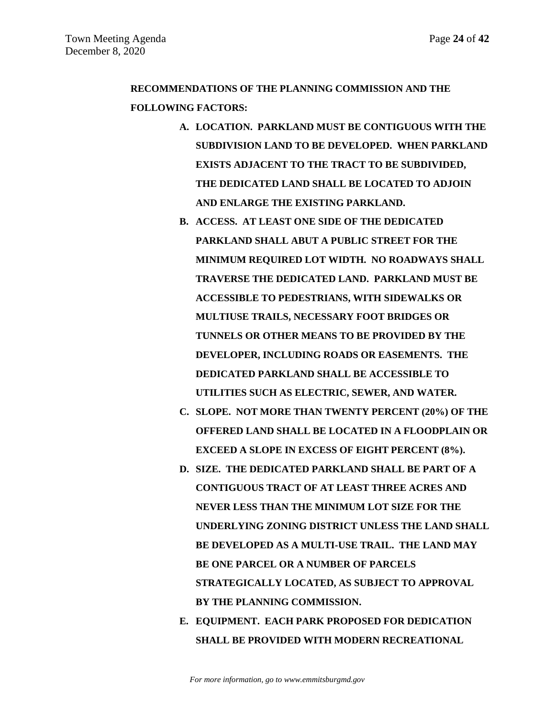# **RECOMMENDATIONS OF THE PLANNING COMMISSION AND THE FOLLOWING FACTORS:**

- **A. LOCATION. PARKLAND MUST BE CONTIGUOUS WITH THE SUBDIVISION LAND TO BE DEVELOPED. WHEN PARKLAND EXISTS ADJACENT TO THE TRACT TO BE SUBDIVIDED, THE DEDICATED LAND SHALL BE LOCATED TO ADJOIN AND ENLARGE THE EXISTING PARKLAND.**
- **B. ACCESS. AT LEAST ONE SIDE OF THE DEDICATED PARKLAND SHALL ABUT A PUBLIC STREET FOR THE MINIMUM REQUIRED LOT WIDTH. NO ROADWAYS SHALL TRAVERSE THE DEDICATED LAND. PARKLAND MUST BE ACCESSIBLE TO PEDESTRIANS, WITH SIDEWALKS OR MULTIUSE TRAILS, NECESSARY FOOT BRIDGES OR TUNNELS OR OTHER MEANS TO BE PROVIDED BY THE DEVELOPER, INCLUDING ROADS OR EASEMENTS. THE DEDICATED PARKLAND SHALL BE ACCESSIBLE TO UTILITIES SUCH AS ELECTRIC, SEWER, AND WATER.**
- **C. SLOPE. NOT MORE THAN TWENTY PERCENT (20%) OF THE OFFERED LAND SHALL BE LOCATED IN A FLOODPLAIN OR EXCEED A SLOPE IN EXCESS OF EIGHT PERCENT (8%).**
- **D. SIZE. THE DEDICATED PARKLAND SHALL BE PART OF A CONTIGUOUS TRACT OF AT LEAST THREE ACRES AND NEVER LESS THAN THE MINIMUM LOT SIZE FOR THE UNDERLYING ZONING DISTRICT UNLESS THE LAND SHALL BE DEVELOPED AS A MULTI-USE TRAIL. THE LAND MAY BE ONE PARCEL OR A NUMBER OF PARCELS STRATEGICALLY LOCATED, AS SUBJECT TO APPROVAL BY THE PLANNING COMMISSION.**
- **E. EQUIPMENT. EACH PARK PROPOSED FOR DEDICATION SHALL BE PROVIDED WITH MODERN RECREATIONAL**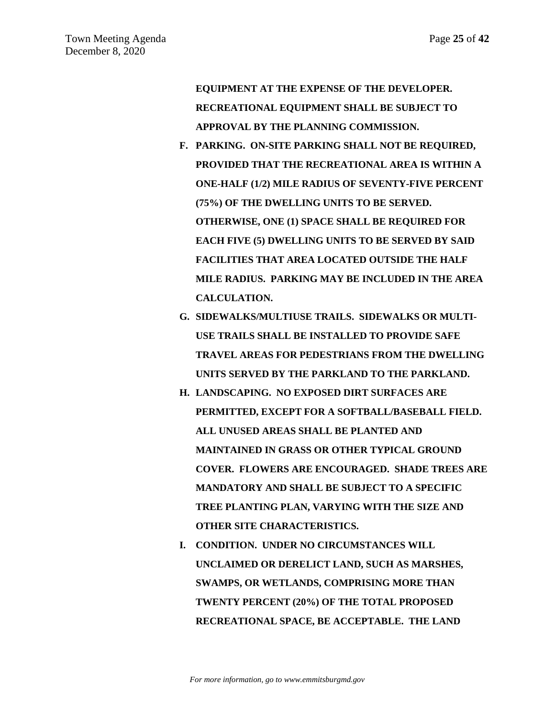**EQUIPMENT AT THE EXPENSE OF THE DEVELOPER. RECREATIONAL EQUIPMENT SHALL BE SUBJECT TO APPROVAL BY THE PLANNING COMMISSION.**

- **F. PARKING. ON-SITE PARKING SHALL NOT BE REQUIRED, PROVIDED THAT THE RECREATIONAL AREA IS WITHIN A ONE-HALF (1/2) MILE RADIUS OF SEVENTY-FIVE PERCENT (75%) OF THE DWELLING UNITS TO BE SERVED. OTHERWISE, ONE (1) SPACE SHALL BE REQUIRED FOR EACH FIVE (5) DWELLING UNITS TO BE SERVED BY SAID FACILITIES THAT AREA LOCATED OUTSIDE THE HALF MILE RADIUS. PARKING MAY BE INCLUDED IN THE AREA CALCULATION.**
- **G. SIDEWALKS/MULTIUSE TRAILS. SIDEWALKS OR MULTI-USE TRAILS SHALL BE INSTALLED TO PROVIDE SAFE TRAVEL AREAS FOR PEDESTRIANS FROM THE DWELLING UNITS SERVED BY THE PARKLAND TO THE PARKLAND.**
- **H. LANDSCAPING. NO EXPOSED DIRT SURFACES ARE PERMITTED, EXCEPT FOR A SOFTBALL/BASEBALL FIELD. ALL UNUSED AREAS SHALL BE PLANTED AND MAINTAINED IN GRASS OR OTHER TYPICAL GROUND COVER. FLOWERS ARE ENCOURAGED. SHADE TREES ARE MANDATORY AND SHALL BE SUBJECT TO A SPECIFIC TREE PLANTING PLAN, VARYING WITH THE SIZE AND OTHER SITE CHARACTERISTICS.**
- **I. CONDITION. UNDER NO CIRCUMSTANCES WILL UNCLAIMED OR DERELICT LAND, SUCH AS MARSHES, SWAMPS, OR WETLANDS, COMPRISING MORE THAN TWENTY PERCENT (20%) OF THE TOTAL PROPOSED RECREATIONAL SPACE, BE ACCEPTABLE. THE LAND**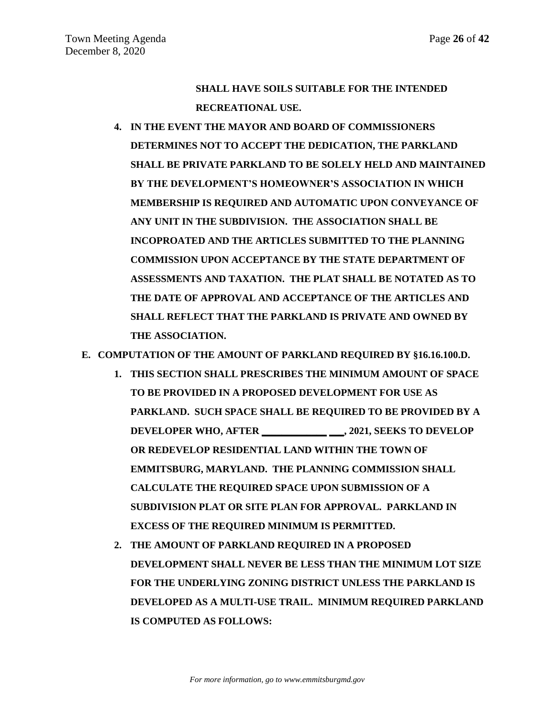**SHALL HAVE SOILS SUITABLE FOR THE INTENDED RECREATIONAL USE.** 

**4. IN THE EVENT THE MAYOR AND BOARD OF COMMISSIONERS DETERMINES NOT TO ACCEPT THE DEDICATION, THE PARKLAND SHALL BE PRIVATE PARKLAND TO BE SOLELY HELD AND MAINTAINED BY THE DEVELOPMENT'S HOMEOWNER'S ASSOCIATION IN WHICH MEMBERSHIP IS REQUIRED AND AUTOMATIC UPON CONVEYANCE OF ANY UNIT IN THE SUBDIVISION. THE ASSOCIATION SHALL BE INCOPROATED AND THE ARTICLES SUBMITTED TO THE PLANNING COMMISSION UPON ACCEPTANCE BY THE STATE DEPARTMENT OF ASSESSMENTS AND TAXATION. THE PLAT SHALL BE NOTATED AS TO THE DATE OF APPROVAL AND ACCEPTANCE OF THE ARTICLES AND SHALL REFLECT THAT THE PARKLAND IS PRIVATE AND OWNED BY THE ASSOCIATION.** 

**E. COMPUTATION OF THE AMOUNT OF PARKLAND REQUIRED BY §16.16.100.D.**

- **1. THIS SECTION SHALL PRESCRIBES THE MINIMUM AMOUNT OF SPACE TO BE PROVIDED IN A PROPOSED DEVELOPMENT FOR USE AS PARKLAND. SUCH SPACE SHALL BE REQUIRED TO BE PROVIDED BY A DEVELOPER WHO, AFTER \_\_\_\_\_\_\_\_\_\_\_\_\_ \_\_\_, 2021, SEEKS TO DEVELOP OR REDEVELOP RESIDENTIAL LAND WITHIN THE TOWN OF EMMITSBURG, MARYLAND. THE PLANNING COMMISSION SHALL CALCULATE THE REQUIRED SPACE UPON SUBMISSION OF A SUBDIVISION PLAT OR SITE PLAN FOR APPROVAL. PARKLAND IN EXCESS OF THE REQUIRED MINIMUM IS PERMITTED.**
- **2. THE AMOUNT OF PARKLAND REQUIRED IN A PROPOSED DEVELOPMENT SHALL NEVER BE LESS THAN THE MINIMUM LOT SIZE FOR THE UNDERLYING ZONING DISTRICT UNLESS THE PARKLAND IS DEVELOPED AS A MULTI-USE TRAIL. MINIMUM REQUIRED PARKLAND IS COMPUTED AS FOLLOWS:**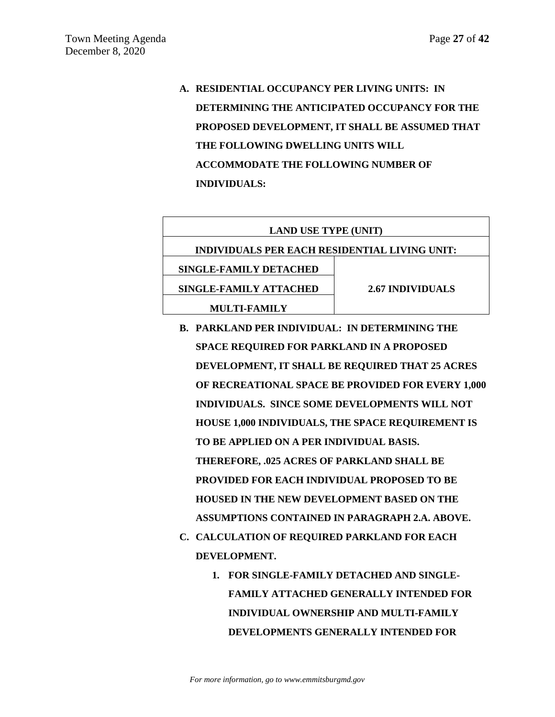**A. RESIDENTIAL OCCUPANCY PER LIVING UNITS: IN DETERMINING THE ANTICIPATED OCCUPANCY FOR THE PROPOSED DEVELOPMENT, IT SHALL BE ASSUMED THAT THE FOLLOWING DWELLING UNITS WILL ACCOMMODATE THE FOLLOWING NUMBER OF INDIVIDUALS:**

| <b>LAND USE TYPE (UNIT)</b>                          |  |  |  |  |
|------------------------------------------------------|--|--|--|--|
| <b>INDIVIDUALS PER EACH RESIDENTIAL LIVING UNIT:</b> |  |  |  |  |
|                                                      |  |  |  |  |
| 2.67 INDIVIDUALS                                     |  |  |  |  |
|                                                      |  |  |  |  |
|                                                      |  |  |  |  |

- **B. PARKLAND PER INDIVIDUAL: IN DETERMINING THE SPACE REQUIRED FOR PARKLAND IN A PROPOSED DEVELOPMENT, IT SHALL BE REQUIRED THAT 25 ACRES OF RECREATIONAL SPACE BE PROVIDED FOR EVERY 1,000 INDIVIDUALS. SINCE SOME DEVELOPMENTS WILL NOT HOUSE 1,000 INDIVIDUALS, THE SPACE REQUIREMENT IS TO BE APPLIED ON A PER INDIVIDUAL BASIS. THEREFORE, .025 ACRES OF PARKLAND SHALL BE PROVIDED FOR EACH INDIVIDUAL PROPOSED TO BE HOUSED IN THE NEW DEVELOPMENT BASED ON THE ASSUMPTIONS CONTAINED IN PARAGRAPH 2.A. ABOVE. C. CALCULATION OF REQUIRED PARKLAND FOR EACH DEVELOPMENT.**
	- **1. FOR SINGLE-FAMILY DETACHED AND SINGLE-FAMILY ATTACHED GENERALLY INTENDED FOR INDIVIDUAL OWNERSHIP AND MULTI-FAMILY DEVELOPMENTS GENERALLY INTENDED FOR**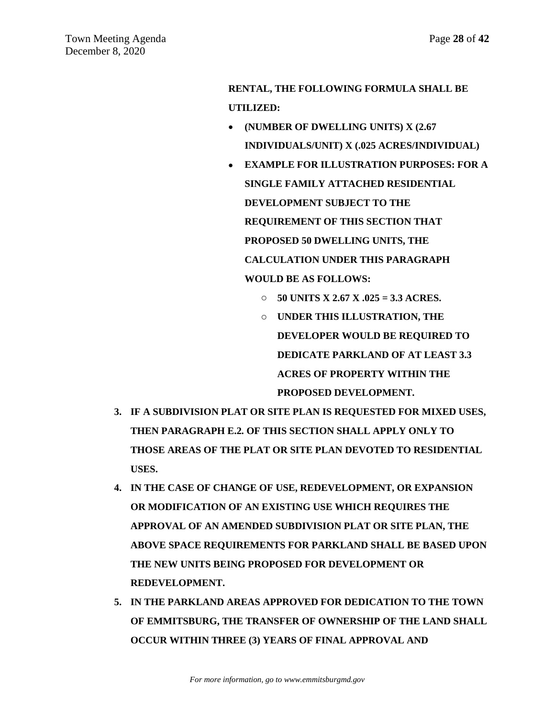# **RENTAL, THE FOLLOWING FORMULA SHALL BE UTILIZED:**

- **(NUMBER OF DWELLING UNITS) X (2.67 INDIVIDUALS/UNIT) X (.025 ACRES/INDIVIDUAL)**
- **EXAMPLE FOR ILLUSTRATION PURPOSES: FOR A SINGLE FAMILY ATTACHED RESIDENTIAL DEVELOPMENT SUBJECT TO THE REQUIREMENT OF THIS SECTION THAT PROPOSED 50 DWELLING UNITS, THE CALCULATION UNDER THIS PARAGRAPH WOULD BE AS FOLLOWS:**
	- o **50 UNITS X 2.67 X .025 = 3.3 ACRES.**
	- o **UNDER THIS ILLUSTRATION, THE DEVELOPER WOULD BE REQUIRED TO DEDICATE PARKLAND OF AT LEAST 3.3 ACRES OF PROPERTY WITHIN THE PROPOSED DEVELOPMENT.**
- **3. IF A SUBDIVISION PLAT OR SITE PLAN IS REQUESTED FOR MIXED USES, THEN PARAGRAPH E.2. OF THIS SECTION SHALL APPLY ONLY TO THOSE AREAS OF THE PLAT OR SITE PLAN DEVOTED TO RESIDENTIAL USES.**
- **4. IN THE CASE OF CHANGE OF USE, REDEVELOPMENT, OR EXPANSION OR MODIFICATION OF AN EXISTING USE WHICH REQUIRES THE APPROVAL OF AN AMENDED SUBDIVISION PLAT OR SITE PLAN, THE ABOVE SPACE REQUIREMENTS FOR PARKLAND SHALL BE BASED UPON THE NEW UNITS BEING PROPOSED FOR DEVELOPMENT OR REDEVELOPMENT.**
- **5. IN THE PARKLAND AREAS APPROVED FOR DEDICATION TO THE TOWN OF EMMITSBURG, THE TRANSFER OF OWNERSHIP OF THE LAND SHALL OCCUR WITHIN THREE (3) YEARS OF FINAL APPROVAL AND**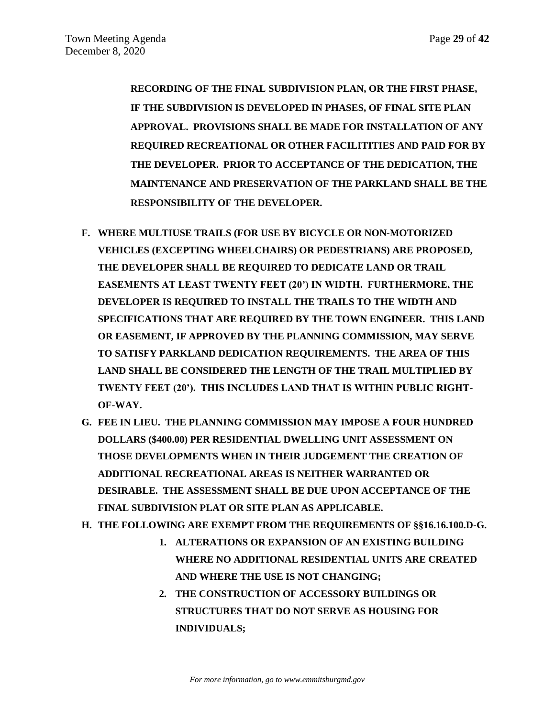**RECORDING OF THE FINAL SUBDIVISION PLAN, OR THE FIRST PHASE, IF THE SUBDIVISION IS DEVELOPED IN PHASES, OF FINAL SITE PLAN APPROVAL. PROVISIONS SHALL BE MADE FOR INSTALLATION OF ANY REQUIRED RECREATIONAL OR OTHER FACILITITIES AND PAID FOR BY THE DEVELOPER. PRIOR TO ACCEPTANCE OF THE DEDICATION, THE MAINTENANCE AND PRESERVATION OF THE PARKLAND SHALL BE THE RESPONSIBILITY OF THE DEVELOPER.** 

- **F. WHERE MULTIUSE TRAILS (FOR USE BY BICYCLE OR NON-MOTORIZED VEHICLES (EXCEPTING WHEELCHAIRS) OR PEDESTRIANS) ARE PROPOSED, THE DEVELOPER SHALL BE REQUIRED TO DEDICATE LAND OR TRAIL EASEMENTS AT LEAST TWENTY FEET (20') IN WIDTH. FURTHERMORE, THE DEVELOPER IS REQUIRED TO INSTALL THE TRAILS TO THE WIDTH AND SPECIFICATIONS THAT ARE REQUIRED BY THE TOWN ENGINEER. THIS LAND OR EASEMENT, IF APPROVED BY THE PLANNING COMMISSION, MAY SERVE TO SATISFY PARKLAND DEDICATION REQUIREMENTS. THE AREA OF THIS LAND SHALL BE CONSIDERED THE LENGTH OF THE TRAIL MULTIPLIED BY TWENTY FEET (20'). THIS INCLUDES LAND THAT IS WITHIN PUBLIC RIGHT-OF-WAY.**
- **G. FEE IN LIEU. THE PLANNING COMMISSION MAY IMPOSE A FOUR HUNDRED DOLLARS (\$400.00) PER RESIDENTIAL DWELLING UNIT ASSESSMENT ON THOSE DEVELOPMENTS WHEN IN THEIR JUDGEMENT THE CREATION OF ADDITIONAL RECREATIONAL AREAS IS NEITHER WARRANTED OR DESIRABLE. THE ASSESSMENT SHALL BE DUE UPON ACCEPTANCE OF THE FINAL SUBDIVISION PLAT OR SITE PLAN AS APPLICABLE.**
- **H. THE FOLLOWING ARE EXEMPT FROM THE REQUIREMENTS OF §§16.16.100.D-G.** 
	- **1. ALTERATIONS OR EXPANSION OF AN EXISTING BUILDING WHERE NO ADDITIONAL RESIDENTIAL UNITS ARE CREATED AND WHERE THE USE IS NOT CHANGING;**
	- **2. THE CONSTRUCTION OF ACCESSORY BUILDINGS OR STRUCTURES THAT DO NOT SERVE AS HOUSING FOR INDIVIDUALS;**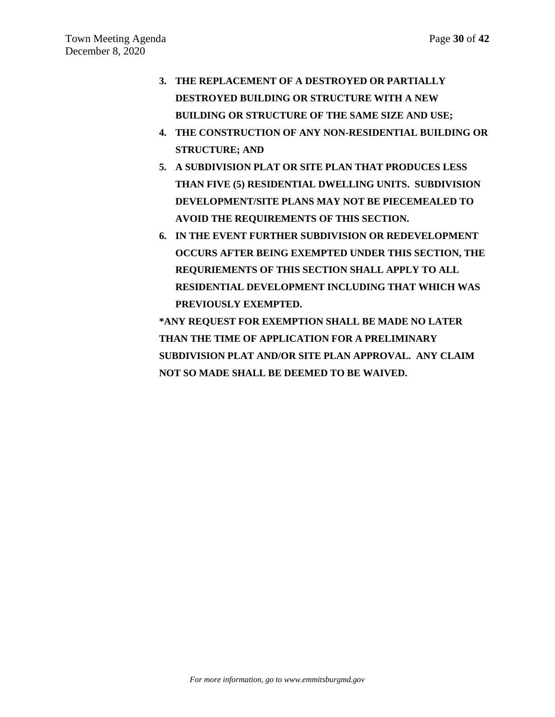- **3. THE REPLACEMENT OF A DESTROYED OR PARTIALLY DESTROYED BUILDING OR STRUCTURE WITH A NEW BUILDING OR STRUCTURE OF THE SAME SIZE AND USE;**
- **4. THE CONSTRUCTION OF ANY NON-RESIDENTIAL BUILDING OR STRUCTURE; AND**
- **5. A SUBDIVISION PLAT OR SITE PLAN THAT PRODUCES LESS THAN FIVE (5) RESIDENTIAL DWELLING UNITS. SUBDIVISION DEVELOPMENT/SITE PLANS MAY NOT BE PIECEMEALED TO AVOID THE REQUIREMENTS OF THIS SECTION.**
- **6. IN THE EVENT FURTHER SUBDIVISION OR REDEVELOPMENT OCCURS AFTER BEING EXEMPTED UNDER THIS SECTION, THE REQURIEMENTS OF THIS SECTION SHALL APPLY TO ALL RESIDENTIAL DEVELOPMENT INCLUDING THAT WHICH WAS PREVIOUSLY EXEMPTED.**

**\*ANY REQUEST FOR EXEMPTION SHALL BE MADE NO LATER THAN THE TIME OF APPLICATION FOR A PRELIMINARY SUBDIVISION PLAT AND/OR SITE PLAN APPROVAL. ANY CLAIM NOT SO MADE SHALL BE DEEMED TO BE WAIVED.**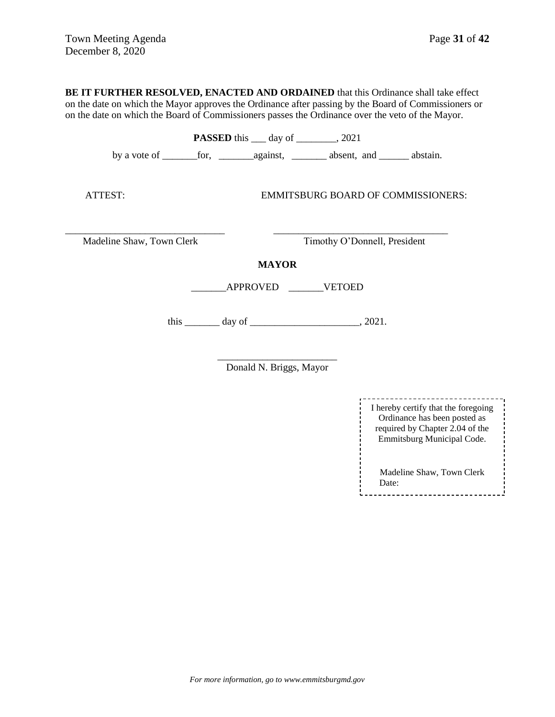**BE IT FURTHER RESOLVED, ENACTED AND ORDAINED** that this Ordinance shall take effect on the date on which the Mayor approves the Ordinance after passing by the Board of Commissioners or on the date on which the Board of Commissioners passes the Ordinance over the veto of the Mayor.

|                           | <b>PASSED</b> this ____ day of _________, 2021 |                                                 |  |
|---------------------------|------------------------------------------------|-------------------------------------------------|--|
|                           |                                                |                                                 |  |
| ATTEST:                   |                                                | EMMITSBURG BOARD OF COMMISSIONERS:              |  |
| Madeline Shaw, Town Clerk |                                                | Timothy O'Donnell, President                    |  |
|                           | <b>MAYOR</b>                                   |                                                 |  |
|                           | APPROVED VETOED                                |                                                 |  |
|                           |                                                | this $\_\_\_\_\_$ day of $\_\_\_\_\_\_$ , 2021. |  |

\_\_\_\_\_\_\_\_\_\_\_\_\_\_\_\_\_\_\_\_\_\_\_\_ Donald N. Briggs, Mayor

> I hereby certify that the foregoing Ordinance has been posted as required by Chapter 2.04 of the Emmitsburg Municipal Code. Madeline Shaw, Town Clerk Date:<u>--------------------------</u>-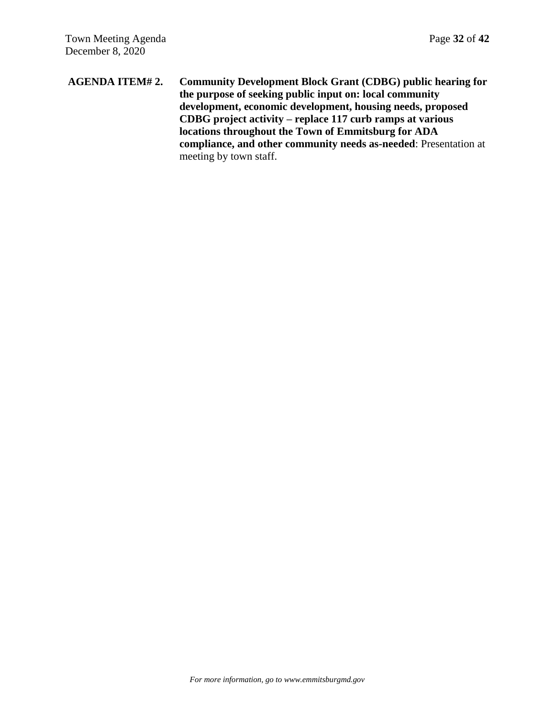**AGENDA ITEM# 2. Community Development Block Grant (CDBG) public hearing for the purpose of seeking public input on: local community development, economic development, housing needs, proposed CDBG project activity – replace 117 curb ramps at various locations throughout the Town of Emmitsburg for ADA compliance, and other community needs as-needed**: Presentation at meeting by town staff.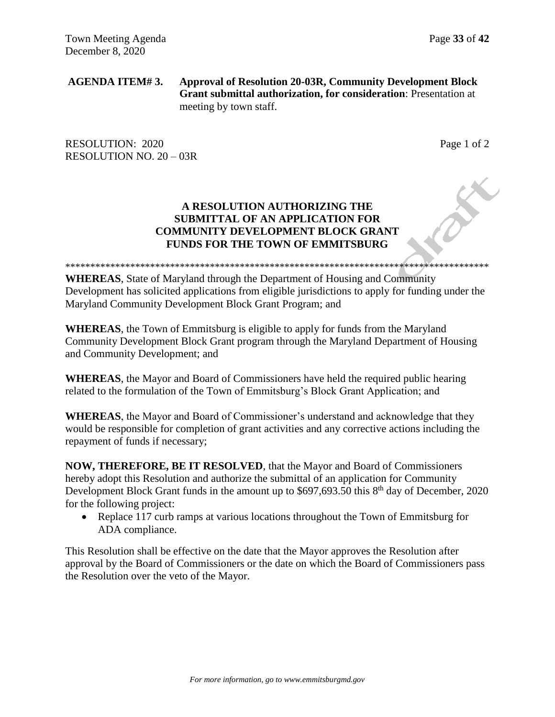**AGENDA ITEM# 3. Approval of Resolution 20-03R, Community Development Block Grant submittal authorization, for consideration**: Presentation at meeting by town staff.

RESOLUTION: 2020 Page 1 of 2 RESOLUTION NO. 20 – 03R

# **A RESOLUTION AUTHORIZING THE SUBMITTAL OF AN APPLICATION FOR COMMUNITY DEVELOPMENT BLOCK GRANT FUNDS FOR THE TOWN OF EMMITSBURG**

\*\*\*\*\*\*\*\*\*\*\*\*\*\*\*\*\*\*\*\*\*\*\*\*\*\*\*\*\*\*\*\*\*\*\*\*\*\*\*\*\*\*\*\*\*\*\*\*\*\*\*\*\*\*\*\*\*\*\*\*\*\*\*\*\*\*\*\*\*\*\*\*\*\*\*\*\*\*\*\*\*\*\*\*\*

**WHEREAS**, State of Maryland through the Department of Housing and Community Development has solicited applications from eligible jurisdictions to apply for funding under the Maryland Community Development Block Grant Program; and

**WHEREAS**, the Town of Emmitsburg is eligible to apply for funds from the Maryland Community Development Block Grant program through the Maryland Department of Housing and Community Development; and

**WHEREAS**, the Mayor and Board of Commissioners have held the required public hearing related to the formulation of the Town of Emmitsburg's Block Grant Application; and

**WHEREAS**, the Mayor and Board of Commissioner's understand and acknowledge that they would be responsible for completion of grant activities and any corrective actions including the repayment of funds if necessary;

**NOW, THEREFORE, BE IT RESOLVED**, that the Mayor and Board of Commissioners hereby adopt this Resolution and authorize the submittal of an application for Community Development Block Grant funds in the amount up to \$697,693.50 this 8<sup>th</sup> day of December, 2020 for the following project:

• Replace 117 curb ramps at various locations throughout the Town of Emmitsburg for ADA compliance.

This Resolution shall be effective on the date that the Mayor approves the Resolution after approval by the Board of Commissioners or the date on which the Board of Commissioners pass the Resolution over the veto of the Mayor.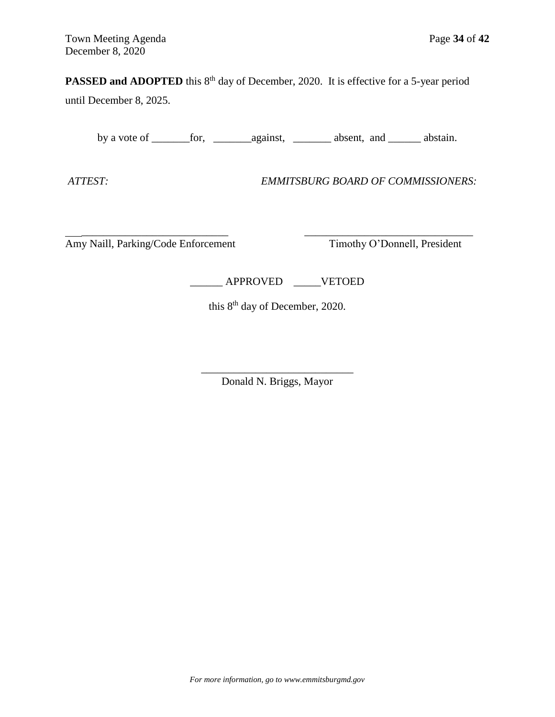## **PASSED and ADOPTED** this 8<sup>th</sup> day of December, 2020. It is effective for a 5-year period

until December 8, 2025.

by a vote of \_\_\_\_\_\_\_for, \_\_\_\_\_\_\_against, \_\_\_\_\_\_\_ absent, and \_\_\_\_\_\_ abstain.

*ATTEST: EMMITSBURG BOARD OF COMMISSIONERS:*

 \_\_\_\_\_\_\_\_\_\_\_\_\_\_\_\_\_\_\_\_\_\_\_\_\_\_\_ \_\_\_\_\_\_\_\_\_\_\_\_\_\_\_\_\_\_\_\_\_\_\_\_\_\_\_\_\_\_\_ Amy Naill, Parking/Code Enforcement Timothy O'Donnell, President

\_\_\_\_\_\_ APPROVED \_\_\_\_\_VETOED

this 8<sup>th</sup> day of December, 2020.

\_\_\_\_\_\_\_\_\_\_\_\_\_\_\_\_\_\_\_\_\_\_\_\_\_\_\_\_ Donald N. Briggs, Mayor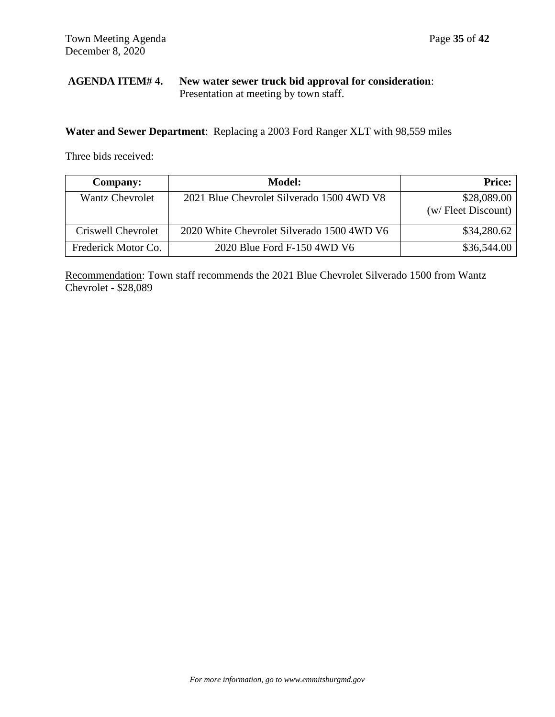# **AGENDA ITEM# 4. New water sewer truck bid approval for consideration**: Presentation at meeting by town staff.

**Water and Sewer Department**: Replacing a 2003 Ford Ranger XLT with 98,559 miles

Three bids received:

| Company:               | <b>Model:</b>                              | <b>Price:</b>                      |
|------------------------|--------------------------------------------|------------------------------------|
| <b>Wantz Chevrolet</b> | 2021 Blue Chevrolet Silverado 1500 4WD V8  | \$28,089.00<br>(w/ Fleet Discount) |
| Criswell Chevrolet     | 2020 White Chevrolet Silverado 1500 4WD V6 | \$34,280.62                        |
| Frederick Motor Co.    | 2020 Blue Ford F-150 4WD V6                | \$36,544.00                        |

Recommendation: Town staff recommends the 2021 Blue Chevrolet Silverado 1500 from Wantz Chevrolet - \$28,089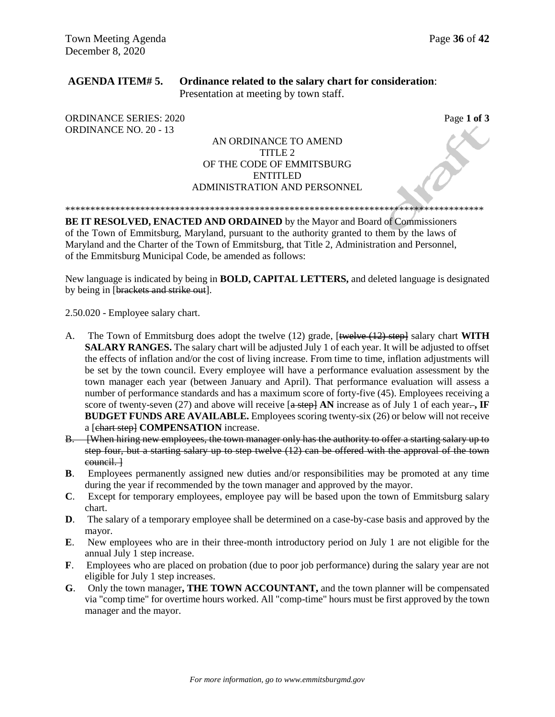## **AGENDA ITEM# 5. Ordinance related to the salary chart for consideration**: Presentation at meeting by town staff.

ORDINANCE SERIES: 2020 **Page 1 of 3** ORDINANCE NO. 20 - 13

## AN ORDINANCE TO AMEND TITLE 2 OF THE CODE OF EMMITSBURG ENTITLED ADMINISTRATION AND PERSONNEL

\*\*\*\*\*\*\*\*\*\*\*\*\*\*\*\*\*\*\*\*\*\*\*\*\*\*\*\*\*\*\*\*\*\*\*\*\*\*\*\*\*\*\*\*\*\*\*\*\*\*\*\*\*\*\*\*\*\*\*\*\*\*\*\*\*\*\*\*\*\*\*\*\*\*\*\*\*\*\*\*\*\*\*\*

**BE IT RESOLVED, ENACTED AND ORDAINED** by the Mayor and Board of Commissioners of the Town of Emmitsburg, Maryland, pursuant to the authority granted to them by the laws of Maryland and the Charter of the Town of Emmitsburg, that Title 2, Administration and Personnel, of the Emmitsburg Municipal Code, be amended as follows:

New language is indicated by being in **BOLD, CAPITAL LETTERS,** and deleted language is designated by being in [brackets and strike out].

2.50.020 - Employee salary chart.

- A. The Town of Emmitsburg does adopt the twelve (12) grade, [twelve (12) step] salary chart **WITH SALARY RANGES.** The salary chart will be adjusted July 1 of each year. It will be adjusted to offset the effects of inflation and/or the cost of living increase. From time to time, inflation adjustments will be set by the town council. Every employee will have a performance evaluation assessment by the town manager each year (between January and April). That performance evaluation will assess a number of performance standards and has a maximum score of forty-five (45). Employees receiving a score of twenty-seven (27) and above will receive  $\left[\frac{a \text{ step}}{b}\right]$  **AN** increase as of July 1 of each year. **BUDGET FUNDS ARE AVAILABLE.** Employees scoring twenty-six (26) or below will not receive a [chart step] **COMPENSATION** increase.
- B. [When hiring new employees, the town manager only has the authority to offer a starting salary up to step four, but a starting salary up to step twelve (12) can be offered with the approval of the town council. ]
- **B**. Employees permanently assigned new duties and/or responsibilities may be promoted at any time during the year if recommended by the town manager and approved by the mayor.
- **C**. Except for temporary employees, employee pay will be based upon the town of Emmitsburg salary chart.
- **D.** The salary of a temporary employee shall be determined on a case-by-case basis and approved by the mayor.
- **E**. New employees who are in their three-month introductory period on July 1 are not eligible for the annual July 1 step increase.
- **F**. Employees who are placed on probation (due to poor job performance) during the salary year are not eligible for July 1 step increases.
- **G**. Only the town manager**, THE TOWN ACCOUNTANT,** and the town planner will be compensated via "comp time" for overtime hours worked. All "comp-time" hours must be first approved by the town manager and the mayor.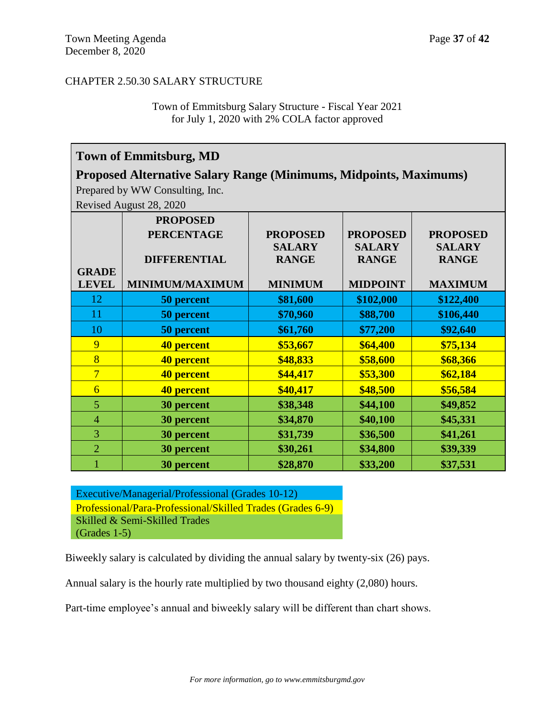## CHAPTER 2.50.30 SALARY STRUCTURE

Town of Emmitsburg Salary Structure - Fiscal Year 2021 for July 1, 2020 with 2% COLA factor approved

# **Town of Emmitsburg, MD**

# **Proposed Alternative Salary Range (Minimums, Midpoints, Maximums)**

Prepared by WW Consulting, Inc.

Revised August 28, 2020

|                | <b>PROPOSED</b>        |                 |                 |                 |
|----------------|------------------------|-----------------|-----------------|-----------------|
|                | <b>PERCENTAGE</b>      | <b>PROPOSED</b> | <b>PROPOSED</b> | <b>PROPOSED</b> |
|                |                        | <b>SALARY</b>   | <b>SALARY</b>   | <b>SALARY</b>   |
|                | <b>DIFFERENTIAL</b>    | <b>RANGE</b>    | <b>RANGE</b>    | <b>RANGE</b>    |
| <b>GRADE</b>   |                        |                 |                 |                 |
| <b>LEVEL</b>   | <b>MINIMUM/MAXIMUM</b> | <b>MINIMUM</b>  | <b>MIDPOINT</b> | <b>MAXIMUM</b>  |
| 12             | 50 percent             | \$81,600        | \$102,000       | \$122,400       |
| 11             | 50 percent             | \$70,960        | \$88,700        | \$106,440       |
| 10             | 50 percent             | \$61,760        | \$77,200        | \$92,640        |
| 9              | 40 percent             | \$53,667        | \$64,400        | \$75,134        |
| 8              | 40 percent             | \$48,833        | \$58,600        | \$68,366        |
| $\overline{7}$ | 40 percent             | \$44,417        | \$53,300        | \$62,184        |
| $\overline{6}$ | 40 percent             | \$40,417        | \$48,500        | \$56,584        |
| 5              | 30 percent             | \$38,348        | \$44,100        | \$49,852        |
| $\overline{4}$ | 30 percent             | \$34,870        | \$40,100        | \$45,331        |
| 3              | 30 percent             | \$31,739        | \$36,500        | \$41,261        |
| $\overline{2}$ | 30 percent             | \$30,261        | \$34,800        | \$39,339        |
|                | 30 percent             | \$28,870        | \$33,200        | \$37,531        |

Executive/Managerial/Professional (Grades 10-12) Professional/Para-Professional/Skilled Trades (Grades 6-9) Skilled & Semi-Skilled Trades (Grades 1-5)

Biweekly salary is calculated by dividing the annual salary by twenty-six (26) pays.

Annual salary is the hourly rate multiplied by two thousand eighty (2,080) hours.

Part-time employee's annual and biweekly salary will be different than chart shows.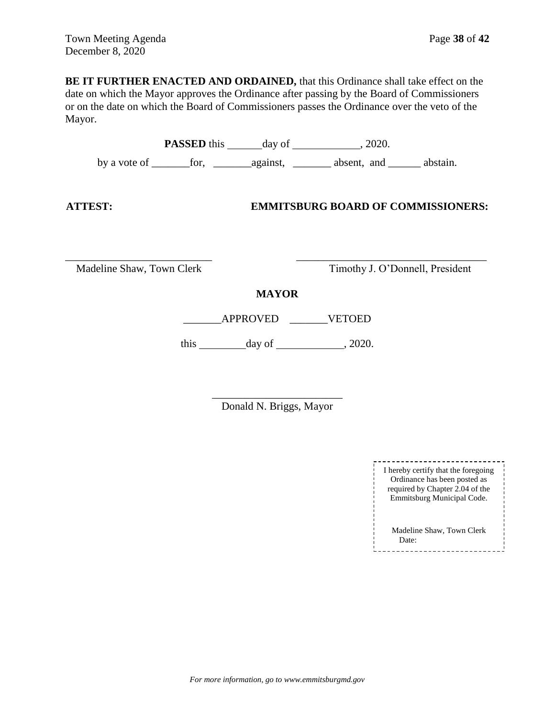**BE IT FURTHER ENACTED AND ORDAINED,** that this Ordinance shall take effect on the date on which the Mayor approves the Ordinance after passing by the Board of Commissioners or on the date on which the Board of Commissioners passes the Ordinance over the veto of the Mayor.

|                           |                                                         | <b>PASSED</b> this day of 3020.           |  |
|---------------------------|---------------------------------------------------------|-------------------------------------------|--|
|                           |                                                         |                                           |  |
| <b>ATTEST:</b>            |                                                         | <b>EMMITSBURG BOARD OF COMMISSIONERS:</b> |  |
| Madeline Shaw, Town Clerk |                                                         | Timothy J. O'Donnell, President           |  |
|                           | <b>MAYOR</b>                                            |                                           |  |
|                           | APPROVED                                                | <b>VETOED</b>                             |  |
|                           | this $\qquad \qquad \text{day of} \qquad \qquad .2020.$ |                                           |  |
|                           |                                                         |                                           |  |

\_\_\_\_\_\_\_\_\_\_\_\_\_\_\_\_\_\_\_\_\_\_\_\_ Donald N. Briggs, Mayor

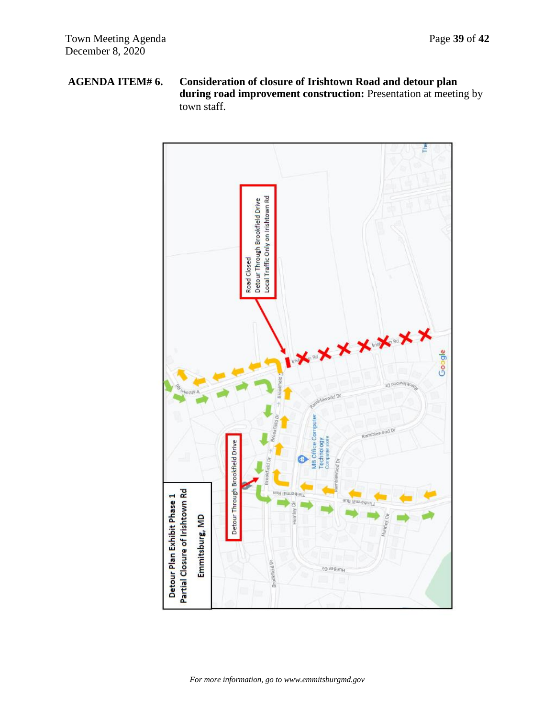# **AGENDA ITEM# 6. Consideration of closure of Irishtown Road and detour plan during road improvement construction:** Presentation at meeting by town staff.

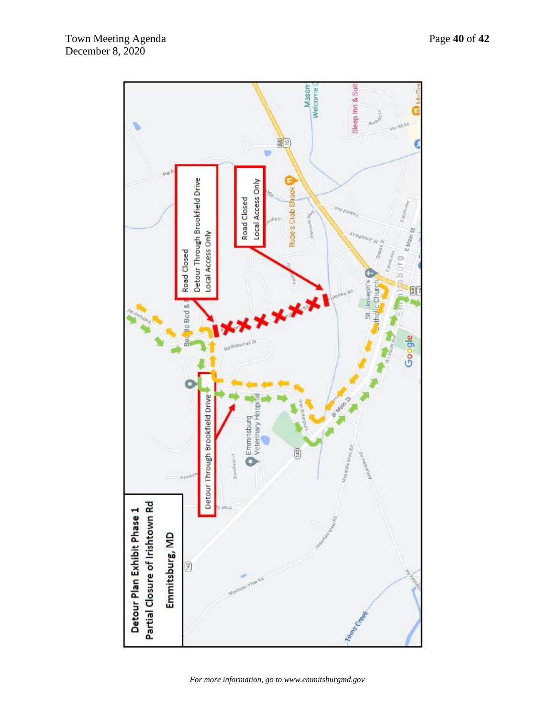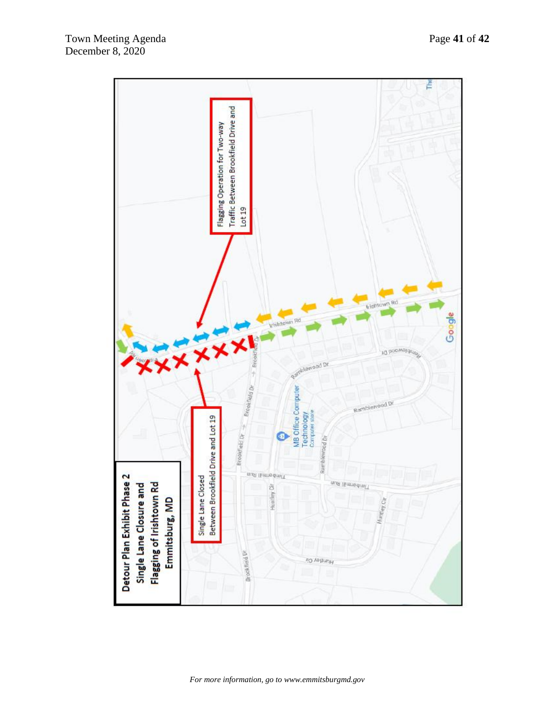